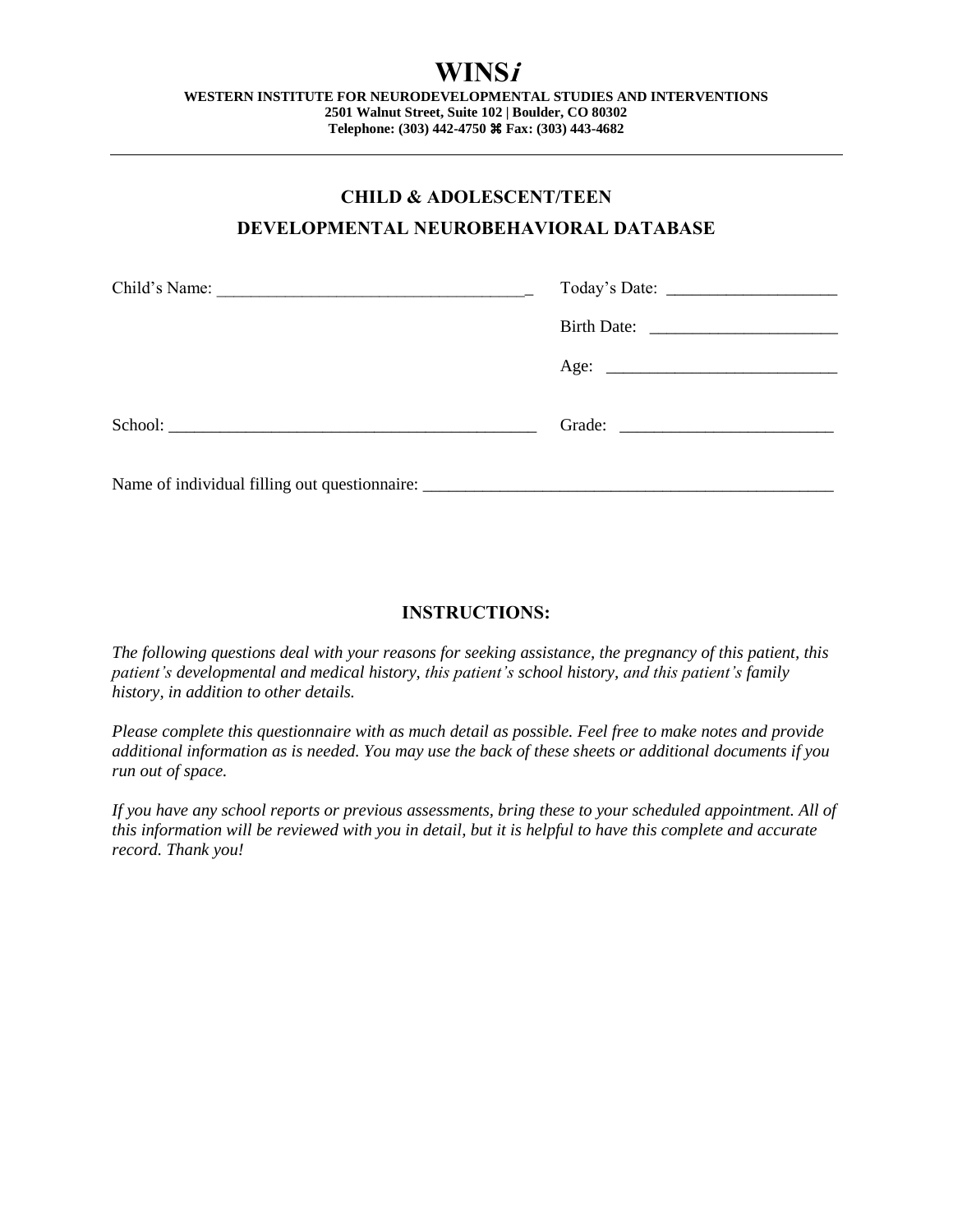### **WINS<sup>i</sup> WESTERN INSTITUTE FOR NEURODEVELOPMENTAL STUDIES AND INTERVENTIONS 2501 Walnut Street, Suite 102 | Boulder, CO 80302 Telephone: (303) 442-4750 Fax: (303) 443-4682**

## **CHILD & ADOLESCENT/TEEN**

## **DEVELOPMENTAL NEUROBEHAVIORAL DATABASE**

| Child's Name:                                                                    |  |
|----------------------------------------------------------------------------------|--|
|                                                                                  |  |
|                                                                                  |  |
|                                                                                  |  |
| Name of individual filling out questionnaire: __________________________________ |  |

## **INSTRUCTIONS:**

*The following questions deal with your reasons for seeking assistance, the pregnancy of this patient, this patient's developmental and medical history, this patient's school history, and this patient's family history, in addition to other details.*

*Please complete this questionnaire with as much detail as possible. Feel free to make notes and provide additional information as is needed. You may use the back of these sheets or additional documents if you run out of space.* 

*If you have any school reports or previous assessments, bring these to your scheduled appointment. All of this information will be reviewed with you in detail, but it is helpful to have this complete and accurate record. Thank you!*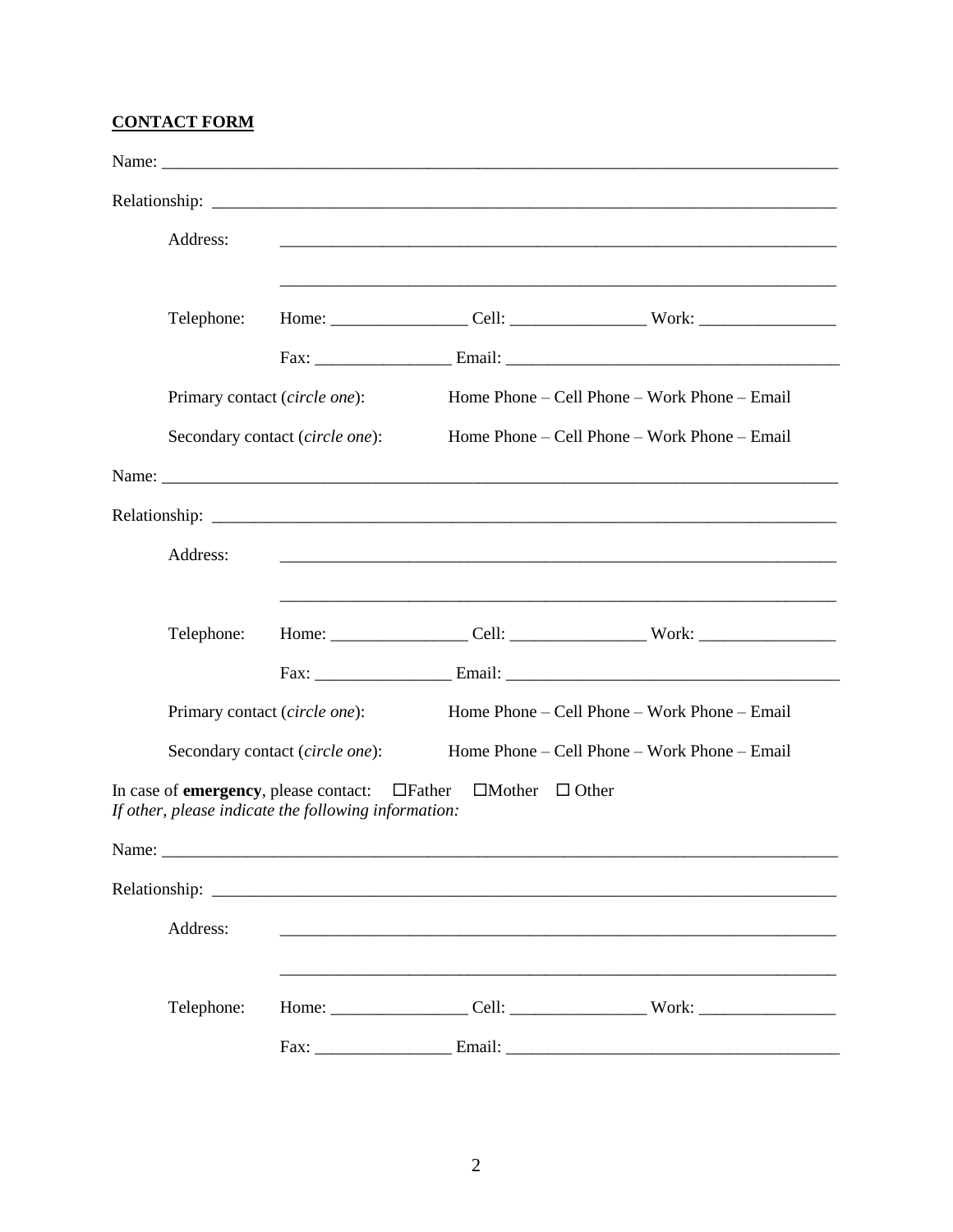# **CONTACT FORM**

|       | Address:                      |                                                      |                                                                                        |                                                                                                      |
|-------|-------------------------------|------------------------------------------------------|----------------------------------------------------------------------------------------|------------------------------------------------------------------------------------------------------|
|       |                               |                                                      |                                                                                        |                                                                                                      |
|       | Telephone:                    |                                                      |                                                                                        | Home: _______________________Cell: _________________________Work: __________________________________ |
|       |                               |                                                      |                                                                                        |                                                                                                      |
|       | Primary contact (circle one): |                                                      |                                                                                        | Home Phone – Cell Phone – Work Phone – Email                                                         |
|       |                               | Secondary contact (circle one):                      |                                                                                        | Home Phone – Cell Phone – Work Phone – Email                                                         |
|       |                               |                                                      |                                                                                        |                                                                                                      |
|       |                               |                                                      |                                                                                        |                                                                                                      |
|       | Address:                      |                                                      |                                                                                        |                                                                                                      |
|       |                               |                                                      |                                                                                        |                                                                                                      |
|       | Telephone:                    |                                                      |                                                                                        |                                                                                                      |
|       |                               |                                                      |                                                                                        |                                                                                                      |
|       | Primary contact (circle one): |                                                      |                                                                                        | Home Phone – Cell Phone – Work Phone – Email                                                         |
|       |                               | Secondary contact (circle one):                      |                                                                                        | Home Phone – Cell Phone – Work Phone – Email                                                         |
|       |                               | If other, please indicate the following information: | In case of <b>emergency</b> , please contact: $\Box$ Father $\Box$ Mother $\Box$ Other |                                                                                                      |
| Name: |                               |                                                      |                                                                                        |                                                                                                      |
|       |                               |                                                      |                                                                                        |                                                                                                      |
|       | Address:                      |                                                      |                                                                                        |                                                                                                      |
|       | Telephone:                    |                                                      |                                                                                        |                                                                                                      |
|       |                               |                                                      |                                                                                        |                                                                                                      |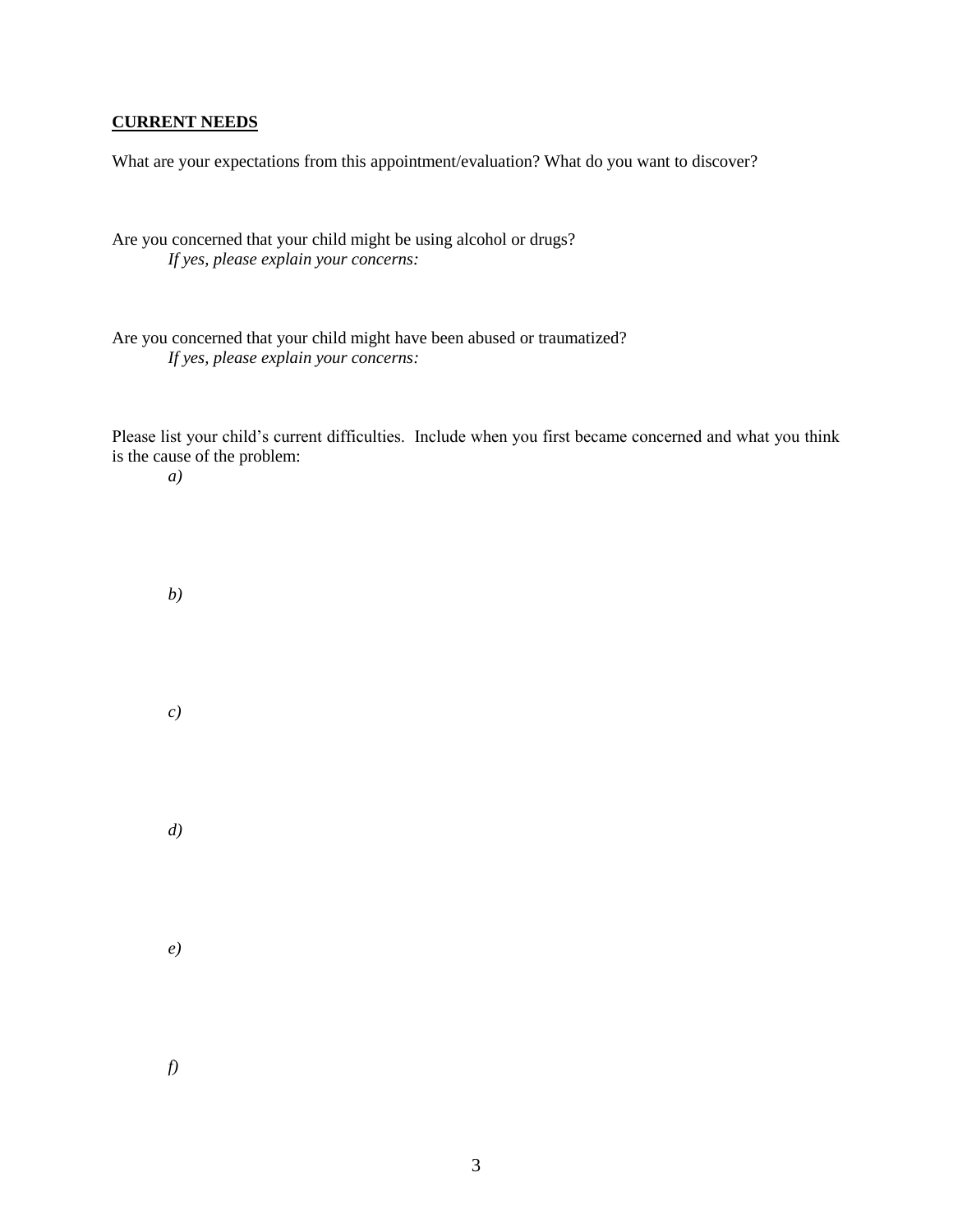#### **CURRENT NEEDS**

What are your expectations from this appointment/evaluation? What do you want to discover?

Are you concerned that your child might be using alcohol or drugs? *If yes, please explain your concerns:*

Are you concerned that your child might have been abused or traumatized? *If yes, please explain your concerns:*

Please list your child's current difficulties. Include when you first became concerned and what you think is the cause of the problem:

*a)*

*b)*

*c)*

*d)*

*e)*

*f)*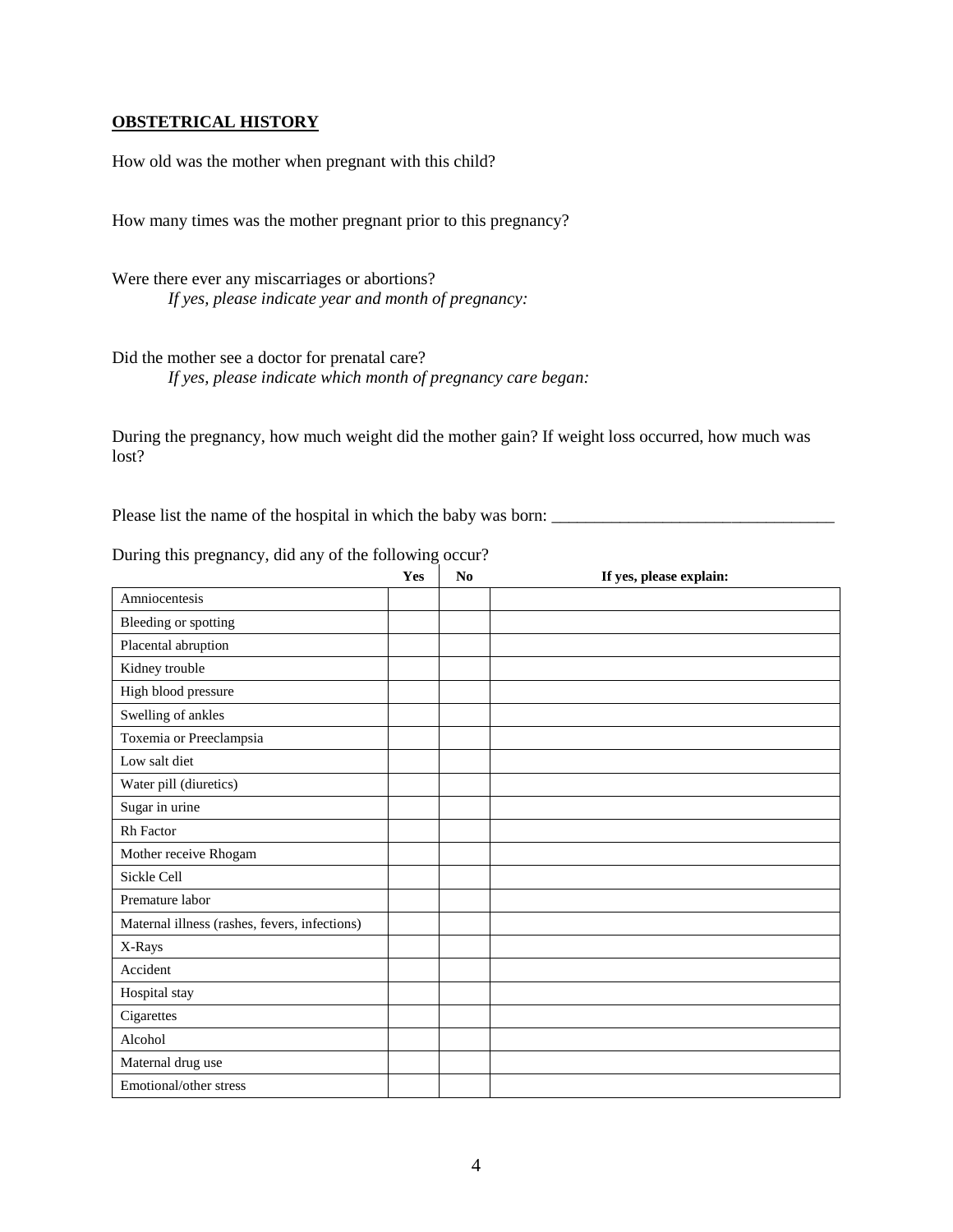### **OBSTETRICAL HISTORY**

How old was the mother when pregnant with this child?

How many times was the mother pregnant prior to this pregnancy?

Were there ever any miscarriages or abortions? *If yes, please indicate year and month of pregnancy:*

Did the mother see a doctor for prenatal care? *If yes, please indicate which month of pregnancy care began:*

During the pregnancy, how much weight did the mother gain? If weight loss occurred, how much was lost?

Please list the name of the hospital in which the baby was born: \_\_\_\_\_\_\_\_\_\_\_\_\_\_\_\_\_\_\_\_\_\_\_\_\_\_\_\_\_\_\_\_\_

|                                               | Yes | No | If yes, please explain: |
|-----------------------------------------------|-----|----|-------------------------|
| Amniocentesis                                 |     |    |                         |
| Bleeding or spotting                          |     |    |                         |
| Placental abruption                           |     |    |                         |
| Kidney trouble                                |     |    |                         |
| High blood pressure                           |     |    |                         |
| Swelling of ankles                            |     |    |                         |
| Toxemia or Preeclampsia                       |     |    |                         |
| Low salt diet                                 |     |    |                         |
| Water pill (diuretics)                        |     |    |                         |
| Sugar in urine                                |     |    |                         |
| <b>Rh</b> Factor                              |     |    |                         |
| Mother receive Rhogam                         |     |    |                         |
| Sickle Cell                                   |     |    |                         |
| Premature labor                               |     |    |                         |
| Maternal illness (rashes, fevers, infections) |     |    |                         |
| X-Rays                                        |     |    |                         |
| Accident                                      |     |    |                         |
| Hospital stay                                 |     |    |                         |
| Cigarettes                                    |     |    |                         |
| Alcohol                                       |     |    |                         |
| Maternal drug use                             |     |    |                         |
| Emotional/other stress                        |     |    |                         |

During this pregnancy, did any of the following occur?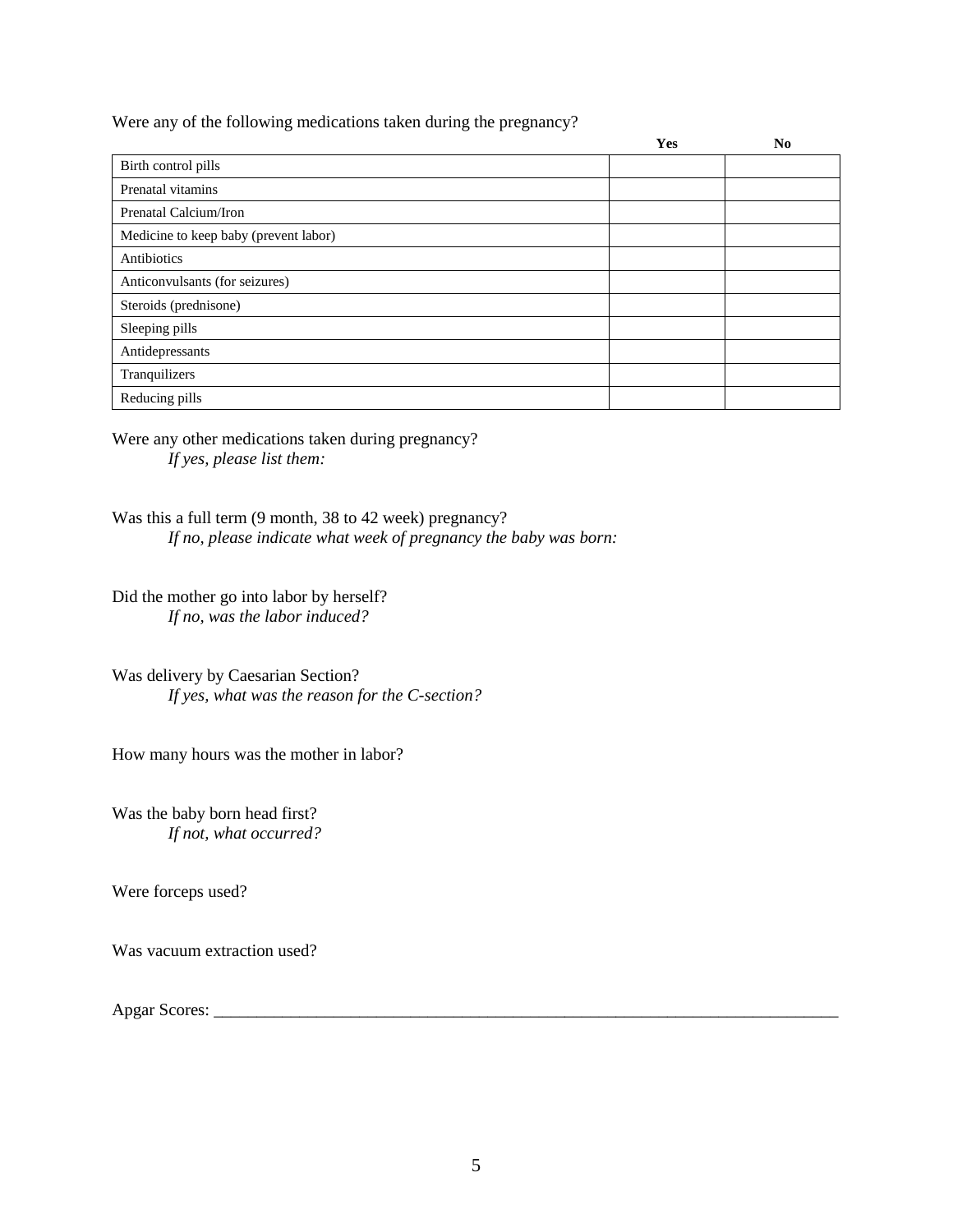Were any of the following medications taken during the pregnancy?

|                                       | Yes | No |
|---------------------------------------|-----|----|
| Birth control pills                   |     |    |
| Prenatal vitamins                     |     |    |
| Prenatal Calcium/Iron                 |     |    |
| Medicine to keep baby (prevent labor) |     |    |
| Antibiotics                           |     |    |
| Anticonvulsants (for seizures)        |     |    |
| Steroids (prednisone)                 |     |    |
| Sleeping pills                        |     |    |
| Antidepressants                       |     |    |
| Tranquilizers                         |     |    |
| Reducing pills                        |     |    |

Were any other medications taken during pregnancy? *If yes, please list them:*

Was this a full term (9 month, 38 to 42 week) pregnancy? *If no, please indicate what week of pregnancy the baby was born:* 

Did the mother go into labor by herself? *If no, was the labor induced?*

Was delivery by Caesarian Section? *If yes, what was the reason for the C-section?*

How many hours was the mother in labor?

Was the baby born head first? *If not, what occurred?*

Were forceps used?

Was vacuum extraction used?

Apgar Scores: \_\_\_\_\_\_\_\_\_\_\_\_\_\_\_\_\_\_\_\_\_\_\_\_\_\_\_\_\_\_\_\_\_\_\_\_\_\_\_\_\_\_\_\_\_\_\_\_\_\_\_\_\_\_\_\_\_\_\_\_\_\_\_\_\_\_\_\_\_\_\_\_\_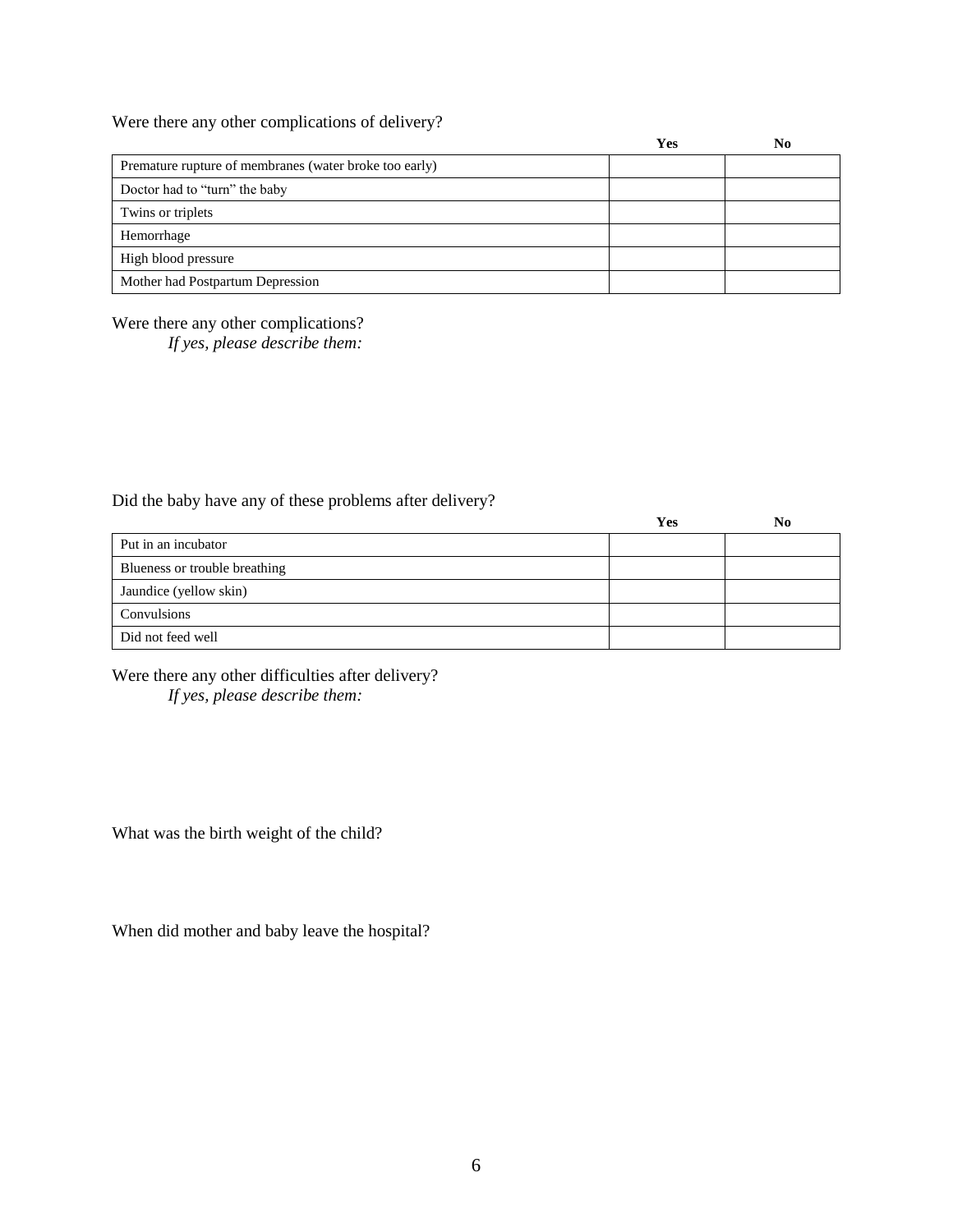Were there any other complications of delivery?

|                                                        | Yes | No |
|--------------------------------------------------------|-----|----|
| Premature rupture of membranes (water broke too early) |     |    |
| Doctor had to "turn" the baby                          |     |    |
| Twins or triplets                                      |     |    |
| Hemorrhage                                             |     |    |
| High blood pressure                                    |     |    |
| Mother had Postpartum Depression                       |     |    |

Were there any other complications?

*If yes, please describe them:*

Did the baby have any of these problems after delivery?

|                               | Yes | No |
|-------------------------------|-----|----|
| Put in an incubator           |     |    |
| Blueness or trouble breathing |     |    |
| Jaundice (yellow skin)        |     |    |
| Convulsions                   |     |    |
| Did not feed well             |     |    |

Were there any other difficulties after delivery? *If yes, please describe them:*

What was the birth weight of the child?

When did mother and baby leave the hospital?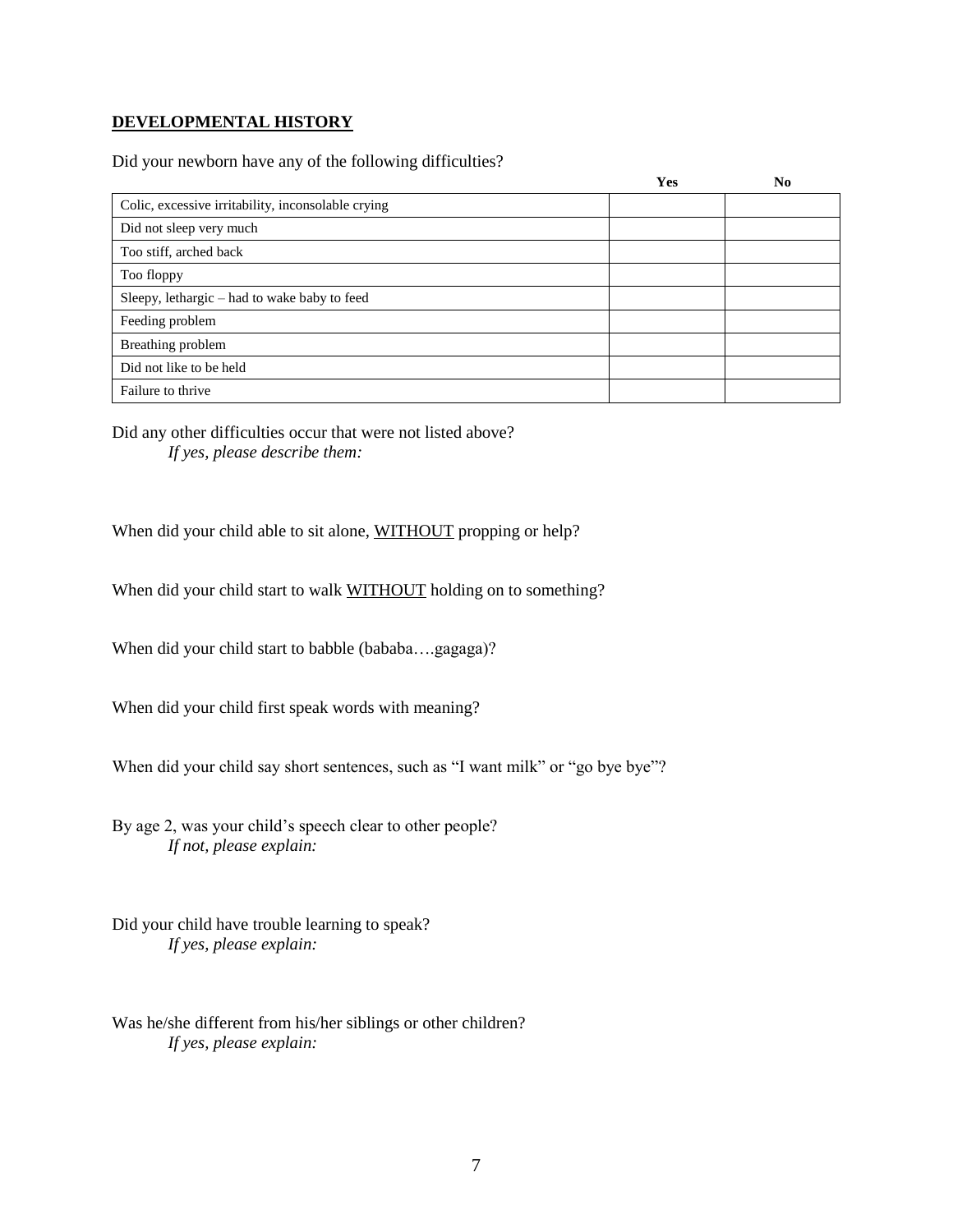### **DEVELOPMENTAL HISTORY**

Did your newborn have any of the following difficulties?

|                                                    | Yes | N <sub>0</sub> |
|----------------------------------------------------|-----|----------------|
| Colic, excessive irritability, inconsolable crying |     |                |
| Did not sleep very much                            |     |                |
| Too stiff, arched back                             |     |                |
| Too floppy                                         |     |                |
| Sleepy, lethargic - had to wake baby to feed       |     |                |
| Feeding problem                                    |     |                |
| Breathing problem                                  |     |                |
| Did not like to be held                            |     |                |
| Failure to thrive                                  |     |                |

Did any other difficulties occur that were not listed above? *If yes, please describe them:*

When did your child able to sit alone, WITHOUT propping or help?

When did your child start to walk WITHOUT holding on to something?

When did your child start to babble (bababa….gagaga)?

When did your child first speak words with meaning?

When did your child say short sentences, such as "I want milk" or "go bye bye"?

By age 2, was your child's speech clear to other people? *If not, please explain:*

Did your child have trouble learning to speak? *If yes, please explain:*

Was he/she different from his/her siblings or other children? *If yes, please explain:*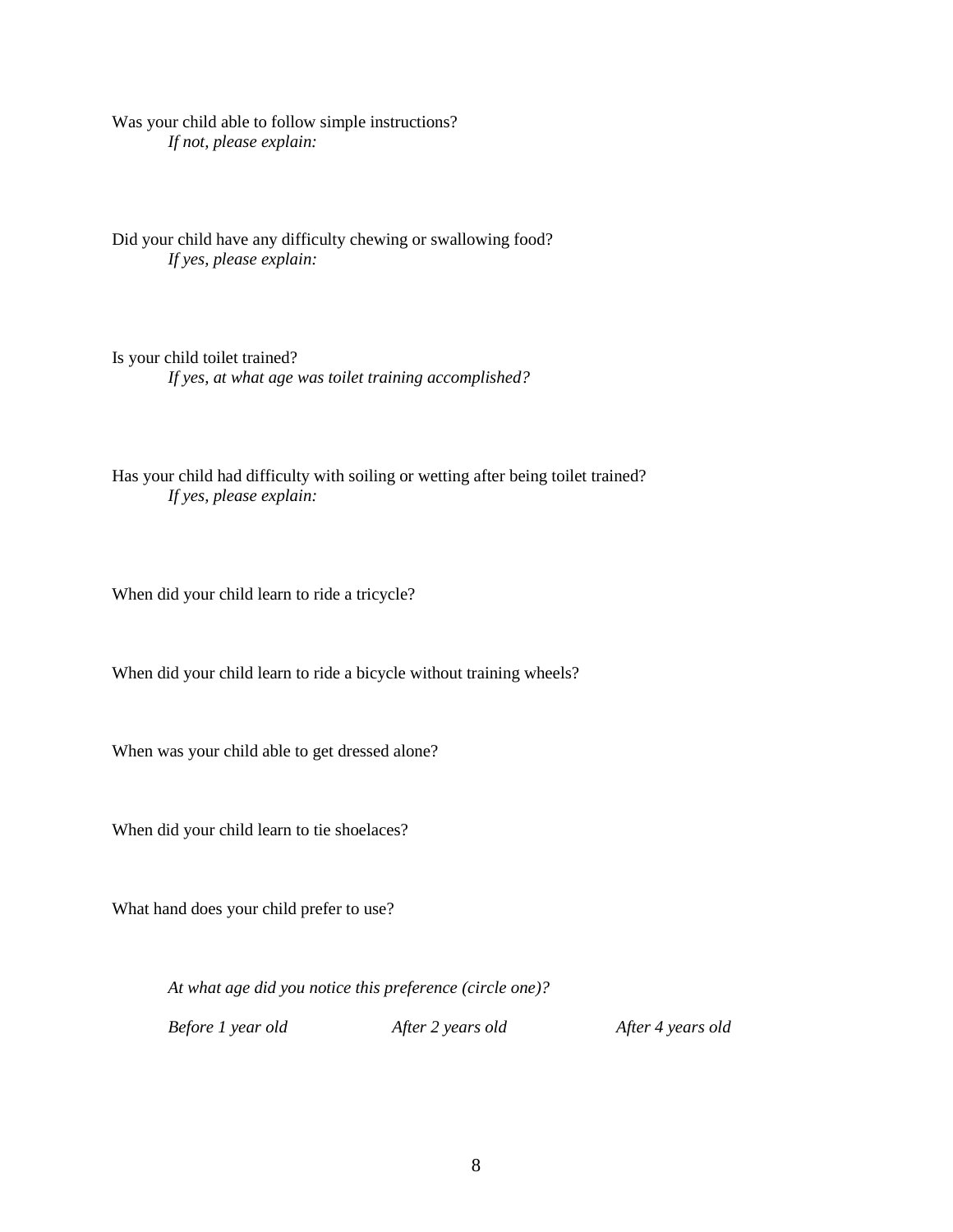Was your child able to follow simple instructions? *If not, please explain:*

Did your child have any difficulty chewing or swallowing food? *If yes, please explain:*

Is your child toilet trained? *If yes, at what age was toilet training accomplished?*

Has your child had difficulty with soiling or wetting after being toilet trained? *If yes, please explain:*

When did your child learn to ride a tricycle?

When did your child learn to ride a bicycle without training wheels?

When was your child able to get dressed alone?

When did your child learn to tie shoelaces?

What hand does your child prefer to use?

*At what age did you notice this preference (circle one)?*

*Before 1 year old After 2 years old After 4 years old*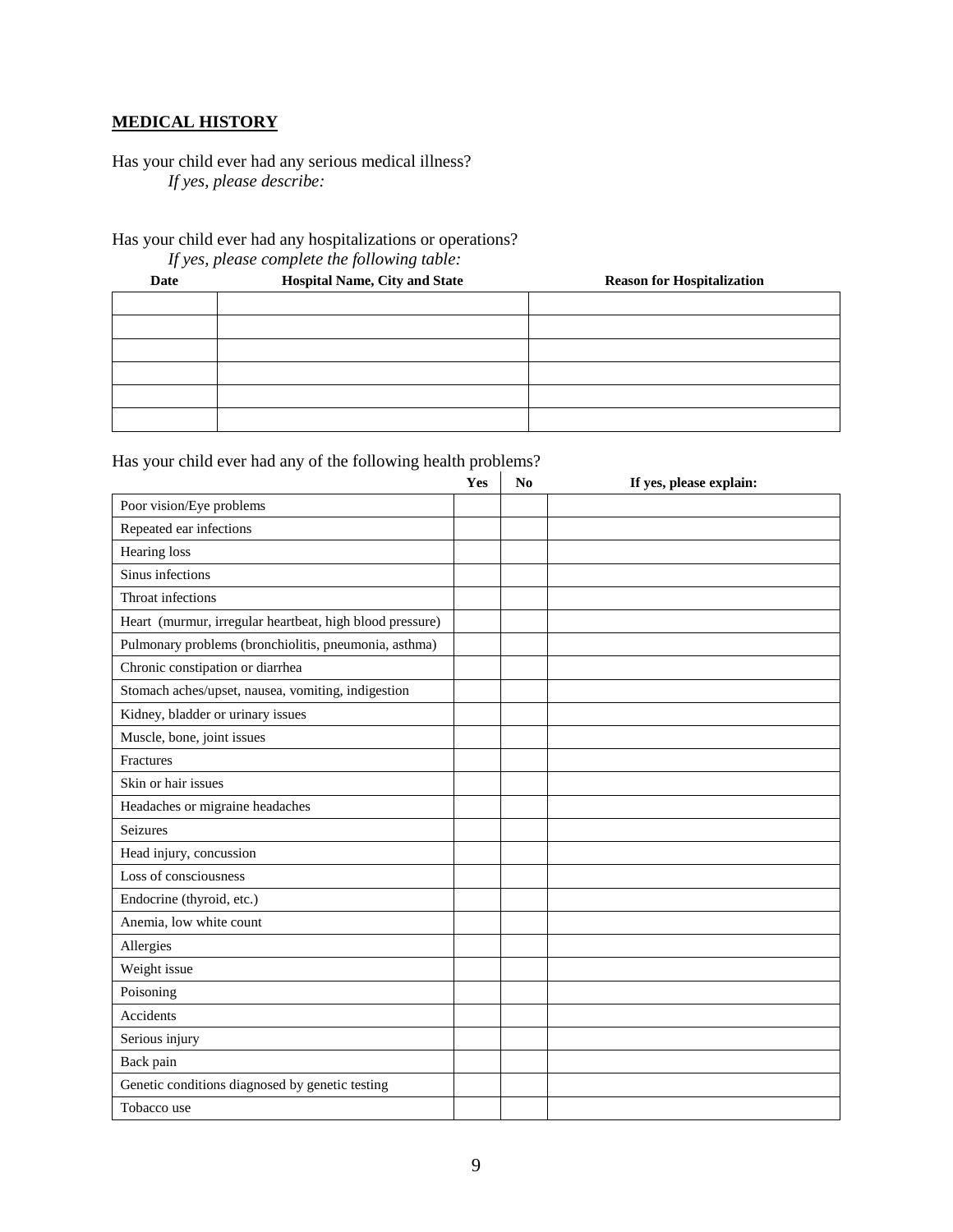# **MEDICAL HISTORY**

Has your child ever had any serious medical illness? *If yes, please describe:*

Has your child ever had any hospitalizations or operations?

*If yes, please complete the following table:*

| Date | <b>Hospital Name, City and State</b> | <b>Reason for Hospitalization</b> |
|------|--------------------------------------|-----------------------------------|
|      |                                      |                                   |
|      |                                      |                                   |
|      |                                      |                                   |
|      |                                      |                                   |
|      |                                      |                                   |
|      |                                      |                                   |

Has your child ever had any of the following health problems?

|                                                          | Yes | No | If yes, please explain: |
|----------------------------------------------------------|-----|----|-------------------------|
| Poor vision/Eye problems                                 |     |    |                         |
| Repeated ear infections                                  |     |    |                         |
| <b>Hearing</b> loss                                      |     |    |                         |
| Sinus infections                                         |     |    |                         |
| Throat infections                                        |     |    |                         |
| Heart (murmur, irregular heartbeat, high blood pressure) |     |    |                         |
| Pulmonary problems (bronchiolitis, pneumonia, asthma)    |     |    |                         |
| Chronic constipation or diarrhea                         |     |    |                         |
| Stomach aches/upset, nausea, vomiting, indigestion       |     |    |                         |
| Kidney, bladder or urinary issues                        |     |    |                         |
| Muscle, bone, joint issues                               |     |    |                         |
| Fractures                                                |     |    |                         |
| Skin or hair issues                                      |     |    |                         |
| Headaches or migraine headaches                          |     |    |                         |
| <b>Seizures</b>                                          |     |    |                         |
| Head injury, concussion                                  |     |    |                         |
| Loss of consciousness                                    |     |    |                         |
| Endocrine (thyroid, etc.)                                |     |    |                         |
| Anemia, low white count                                  |     |    |                         |
| Allergies                                                |     |    |                         |
| Weight issue                                             |     |    |                         |
| Poisoning                                                |     |    |                         |
| Accidents                                                |     |    |                         |
| Serious injury                                           |     |    |                         |
| Back pain                                                |     |    |                         |
| Genetic conditions diagnosed by genetic testing          |     |    |                         |
| Tobacco use                                              |     |    |                         |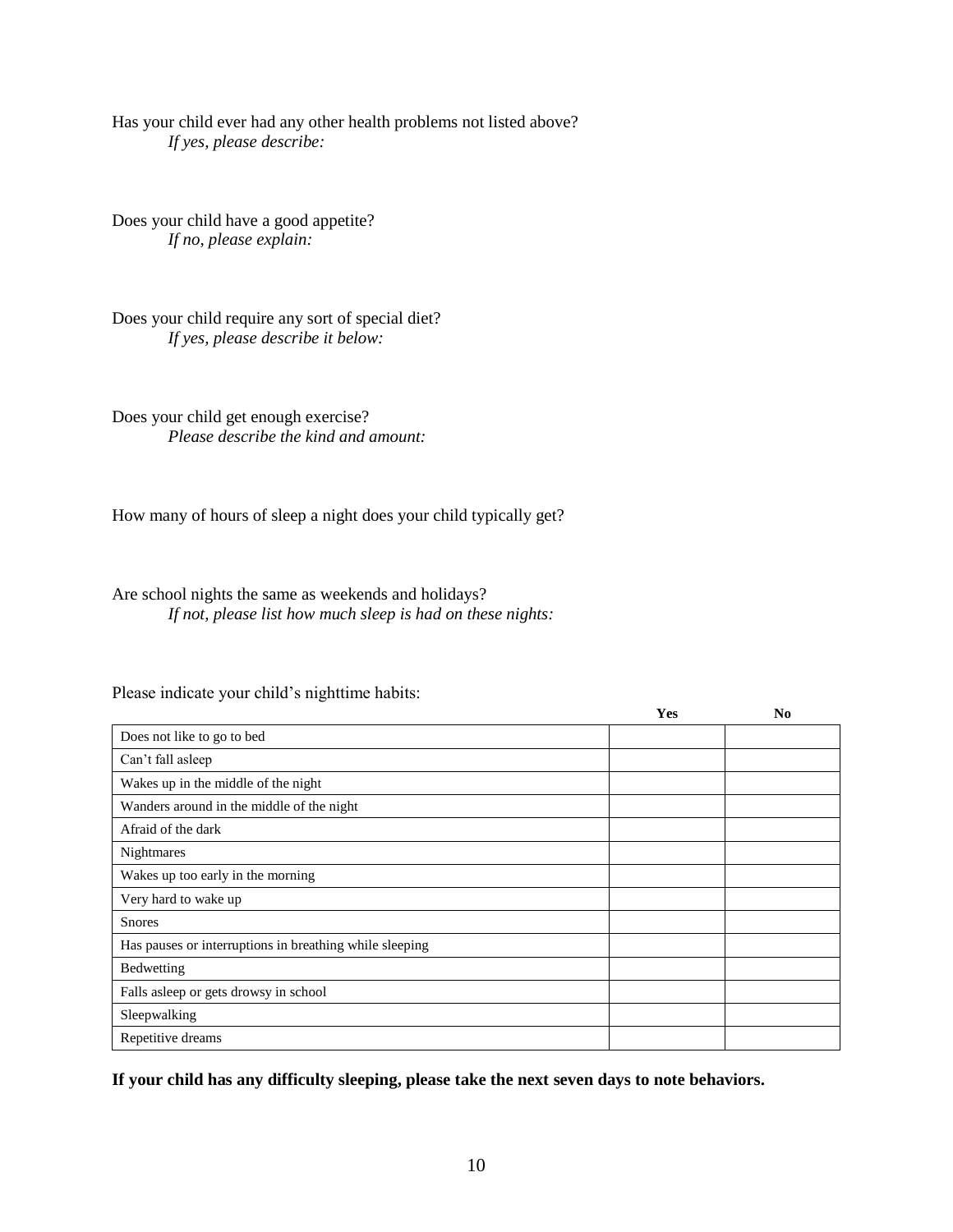Has your child ever had any other health problems not listed above? *If yes, please describe:*

Does your child have a good appetite? *If no, please explain:*

Does your child require any sort of special diet? *If yes, please describe it below:*

Does your child get enough exercise? *Please describe the kind and amount:*

How many of hours of sleep a night does your child typically get?

Are school nights the same as weekends and holidays? *If not, please list how much sleep is had on these nights:*

|                                                         | Yes | N <sub>0</sub> |
|---------------------------------------------------------|-----|----------------|
| Does not like to go to bed                              |     |                |
| Can't fall asleep                                       |     |                |
| Wakes up in the middle of the night                     |     |                |
| Wanders around in the middle of the night               |     |                |
| Afraid of the dark                                      |     |                |
| Nightmares                                              |     |                |
| Wakes up too early in the morning                       |     |                |
| Very hard to wake up                                    |     |                |
| <b>Snores</b>                                           |     |                |
| Has pauses or interruptions in breathing while sleeping |     |                |
| <b>Bedwetting</b>                                       |     |                |
| Falls asleep or gets drowsy in school                   |     |                |
| Sleepwalking                                            |     |                |
| Repetitive dreams                                       |     |                |

Please indicate your child's nighttime habits:

**If your child has any difficulty sleeping, please take the next seven days to note behaviors.**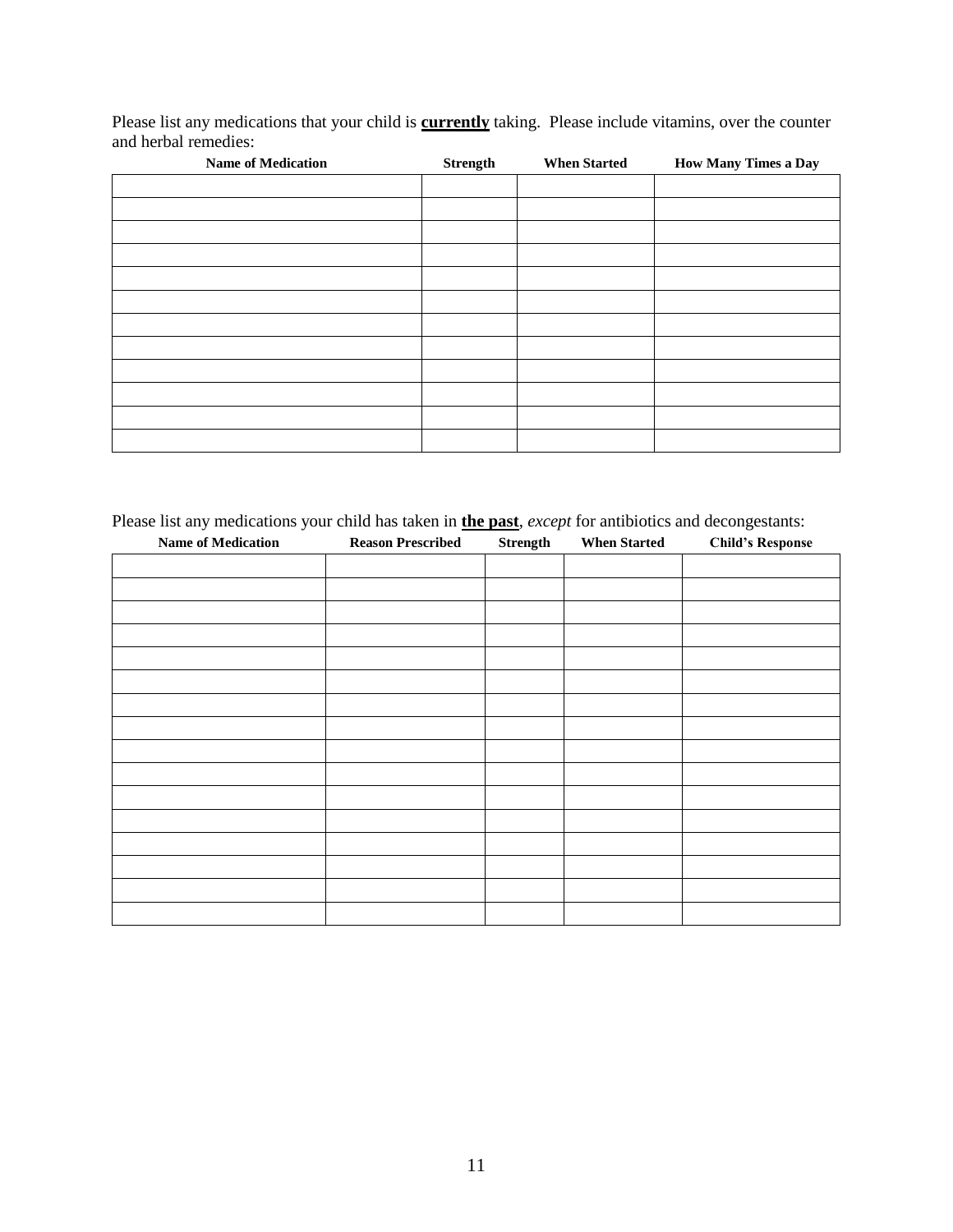Please list any medications that your child is **currently** taking. Please include vitamins, over the counter and herbal remedies:

| <b>Name of Medication</b> | <b>Strength</b> | <b>When Started</b> | <b>How Many Times a Day</b> |
|---------------------------|-----------------|---------------------|-----------------------------|
|                           |                 |                     |                             |
|                           |                 |                     |                             |
|                           |                 |                     |                             |
|                           |                 |                     |                             |
|                           |                 |                     |                             |
|                           |                 |                     |                             |
|                           |                 |                     |                             |
|                           |                 |                     |                             |
|                           |                 |                     |                             |
|                           |                 |                     |                             |
|                           |                 |                     |                             |
|                           |                 |                     |                             |

Please list any medications your child has taken in **the past**, *except* for antibiotics and decongestants:

| <b>Name of Medication</b> | <b>Reason Prescribed</b> | <b>Strength</b> | <b>When Started</b> | <b>Child's Response</b> |
|---------------------------|--------------------------|-----------------|---------------------|-------------------------|
|                           |                          |                 |                     |                         |
|                           |                          |                 |                     |                         |
|                           |                          |                 |                     |                         |
|                           |                          |                 |                     |                         |
|                           |                          |                 |                     |                         |
|                           |                          |                 |                     |                         |
|                           |                          |                 |                     |                         |
|                           |                          |                 |                     |                         |
|                           |                          |                 |                     |                         |
|                           |                          |                 |                     |                         |
|                           |                          |                 |                     |                         |
|                           |                          |                 |                     |                         |
|                           |                          |                 |                     |                         |
|                           |                          |                 |                     |                         |
|                           |                          |                 |                     |                         |
|                           |                          |                 |                     |                         |
|                           |                          |                 |                     |                         |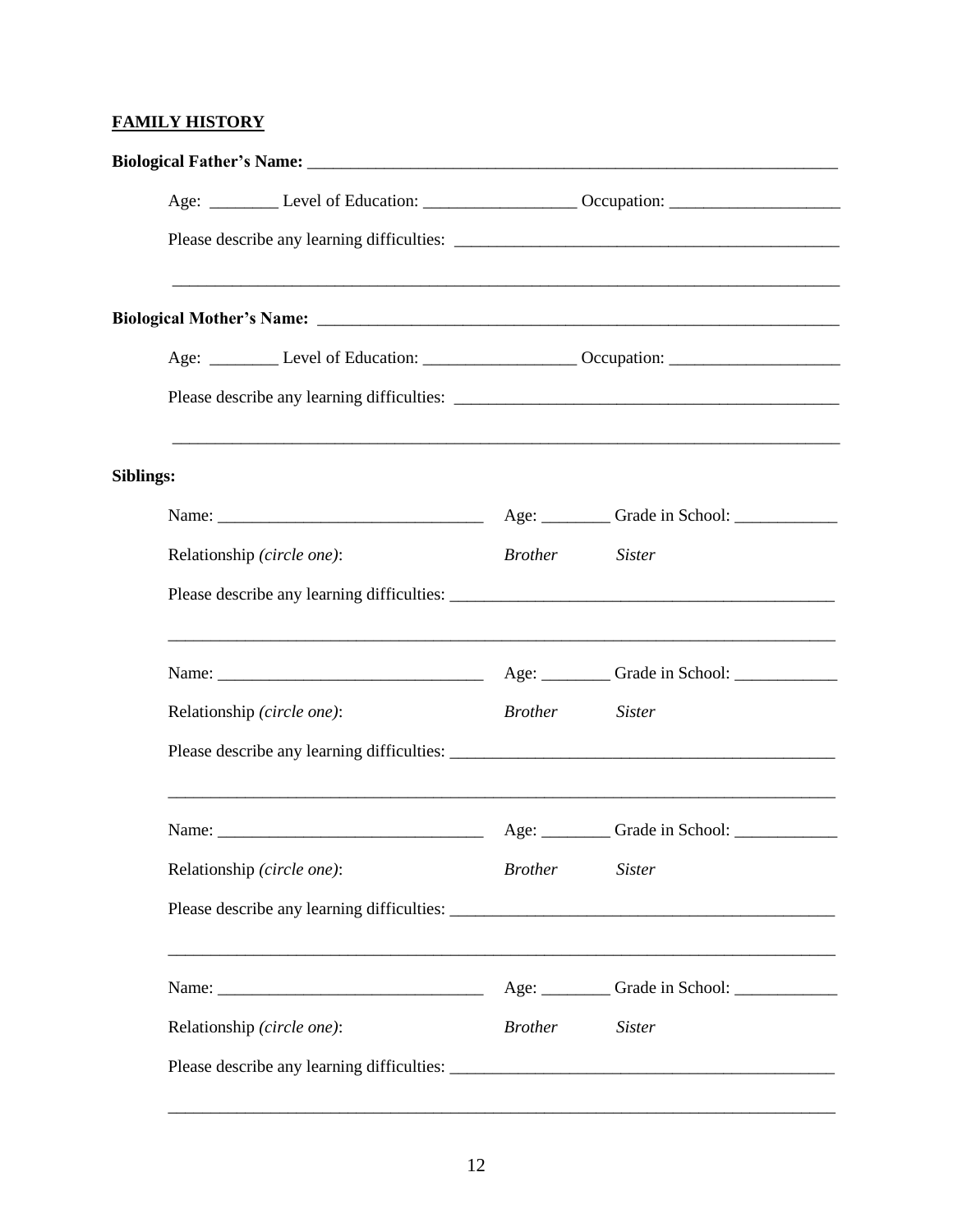# **FAMILY HISTORY**

|           |  |                            |                | Age: __________ Level of Education: _____________________ Occupation: ______________________________                                 |  |
|-----------|--|----------------------------|----------------|--------------------------------------------------------------------------------------------------------------------------------------|--|
|           |  |                            |                |                                                                                                                                      |  |
|           |  |                            |                | ,我们就会在这里的人,我们就会在这里的人,我们就会在这里,我们就会在这里,我们就会在这里,我们就会在这里,我们就会在这里,我们就会在这里,我们就会在这里,我们就                                                     |  |
|           |  |                            |                |                                                                                                                                      |  |
|           |  |                            |                |                                                                                                                                      |  |
|           |  |                            |                |                                                                                                                                      |  |
| Siblings: |  |                            |                |                                                                                                                                      |  |
|           |  |                            |                |                                                                                                                                      |  |
|           |  | Relationship (circle one): | Brother Sister |                                                                                                                                      |  |
|           |  |                            |                |                                                                                                                                      |  |
|           |  |                            |                | <u> 1989 - John Stoff, deutscher Stoff, der Stoff, der Stoff, der Stoff, der Stoff, der Stoff, der Stoff, der Stoff</u>              |  |
|           |  | Relationship (circle one): | Brother Sister |                                                                                                                                      |  |
|           |  |                            |                |                                                                                                                                      |  |
|           |  |                            |                |                                                                                                                                      |  |
|           |  | Relationship (circle one): | <b>Brother</b> | <b>Sister</b>                                                                                                                        |  |
|           |  |                            |                |                                                                                                                                      |  |
|           |  |                            |                | ,我们的人们就会在这里的人们,我们的人们就会在这里,我们的人们就会在这里,我们的人们就会在这里,我们的人们就会在这里,我们的人们就会在这里,我们的人们就会在这里<br>Age: ___________ Grade in School: ______________ |  |
|           |  | Relationship (circle one): | <b>Brother</b> | <b>Sister</b>                                                                                                                        |  |
|           |  |                            |                |                                                                                                                                      |  |

\_\_\_\_\_\_\_\_\_\_\_\_\_\_\_\_\_\_\_\_\_\_\_\_\_\_\_\_\_\_\_\_\_\_\_\_\_\_\_\_\_\_\_\_\_\_\_\_\_\_\_\_\_\_\_\_\_\_\_\_\_\_\_\_\_\_\_\_\_\_\_\_\_\_\_\_\_\_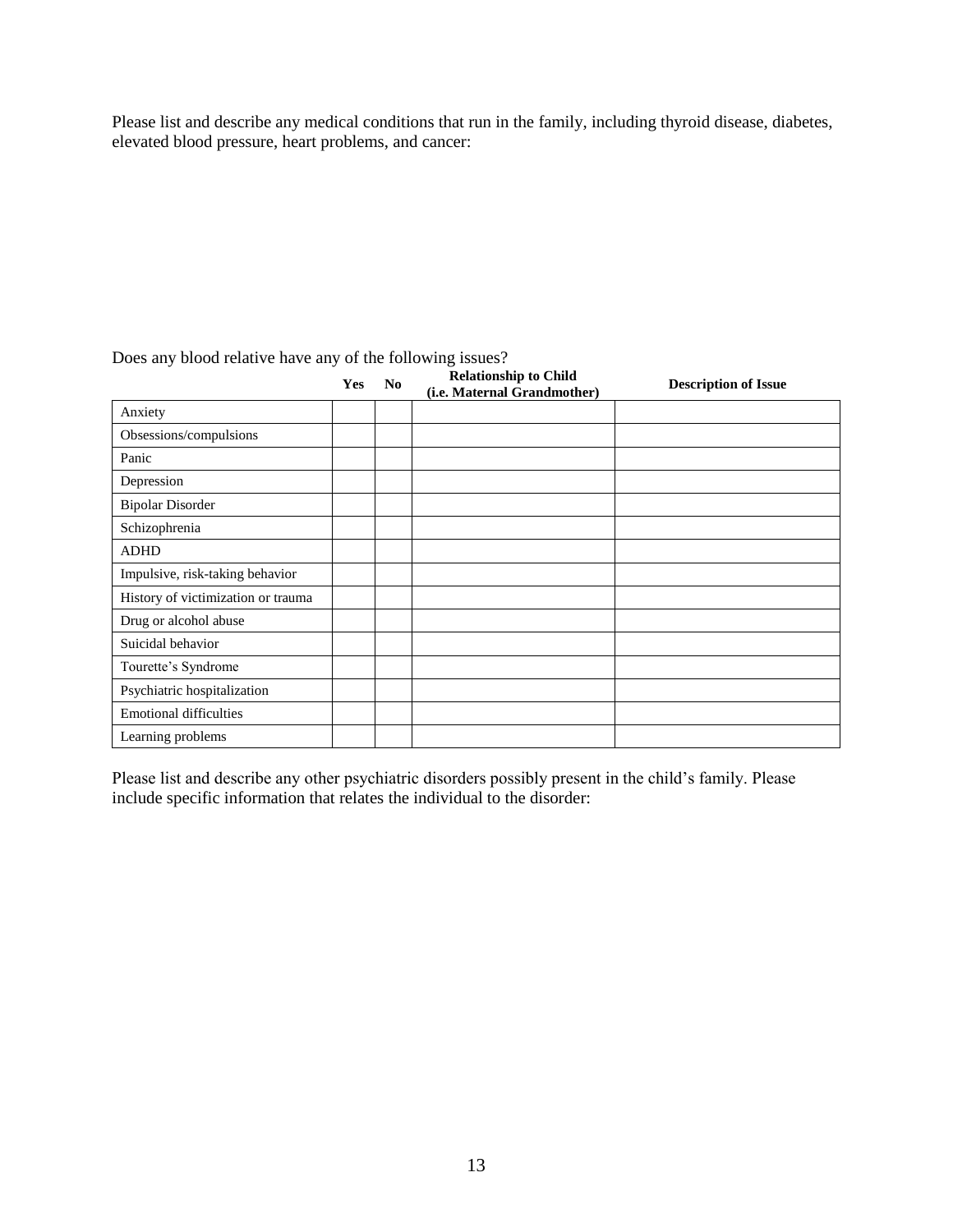Please list and describe any medical conditions that run in the family, including thyroid disease, diabetes, elevated blood pressure, heart problems, and cancer:

|                                    | Yes | N <sub>0</sub> | <b>Relationship to Child</b><br>(i.e. Maternal Grandmother) | <b>Description of Issue</b> |
|------------------------------------|-----|----------------|-------------------------------------------------------------|-----------------------------|
| Anxiety                            |     |                |                                                             |                             |
| Obsessions/compulsions             |     |                |                                                             |                             |
| Panic                              |     |                |                                                             |                             |
| Depression                         |     |                |                                                             |                             |
| <b>Bipolar Disorder</b>            |     |                |                                                             |                             |
| Schizophrenia                      |     |                |                                                             |                             |
| <b>ADHD</b>                        |     |                |                                                             |                             |
| Impulsive, risk-taking behavior    |     |                |                                                             |                             |
| History of victimization or trauma |     |                |                                                             |                             |
| Drug or alcohol abuse              |     |                |                                                             |                             |
| Suicidal behavior                  |     |                |                                                             |                             |
| Tourette's Syndrome                |     |                |                                                             |                             |
| Psychiatric hospitalization        |     |                |                                                             |                             |
| <b>Emotional difficulties</b>      |     |                |                                                             |                             |
| Learning problems                  |     |                |                                                             |                             |

Does any blood relative have any of the following issues?

Please list and describe any other psychiatric disorders possibly present in the child's family. Please include specific information that relates the individual to the disorder: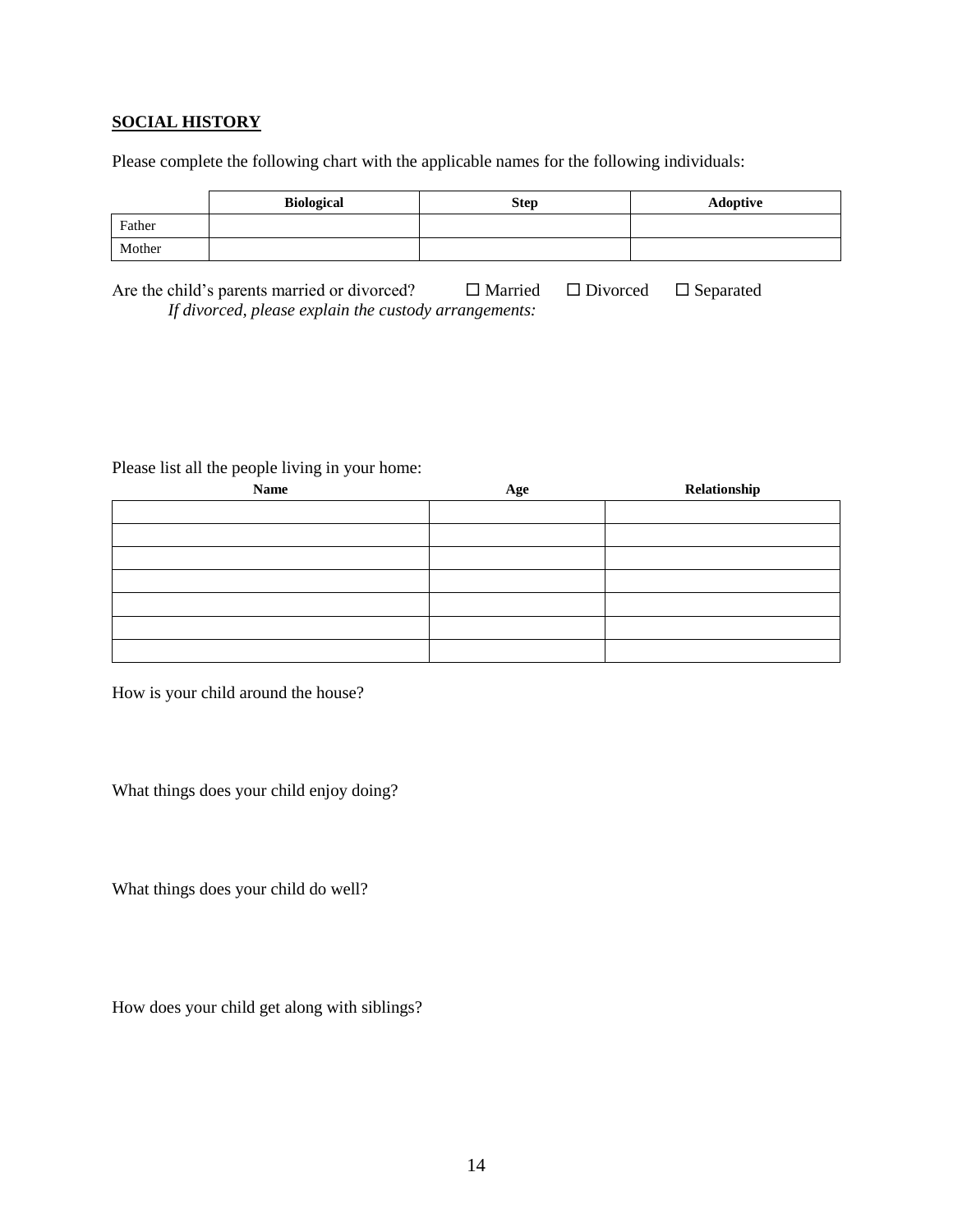## **SOCIAL HISTORY**

Please complete the following chart with the applicable names for the following individuals:

|        | <b>Biological</b> | <b>Step</b> | <b>Adoptive</b> |
|--------|-------------------|-------------|-----------------|
| Father |                   |             |                 |
| Mother |                   |             |                 |

Are the child's parents married or divorced?  $\Box$  Married  $\Box$  Divorced  $\Box$  Separated *If divorced, please explain the custody arrangements:* 

### Please list all the people living in your home:

| <b>Name</b> | Age | Relationship |
|-------------|-----|--------------|
|             |     |              |
|             |     |              |
|             |     |              |
|             |     |              |
|             |     |              |
|             |     |              |
|             |     |              |

How is your child around the house?

What things does your child enjoy doing?

What things does your child do well?

How does your child get along with siblings?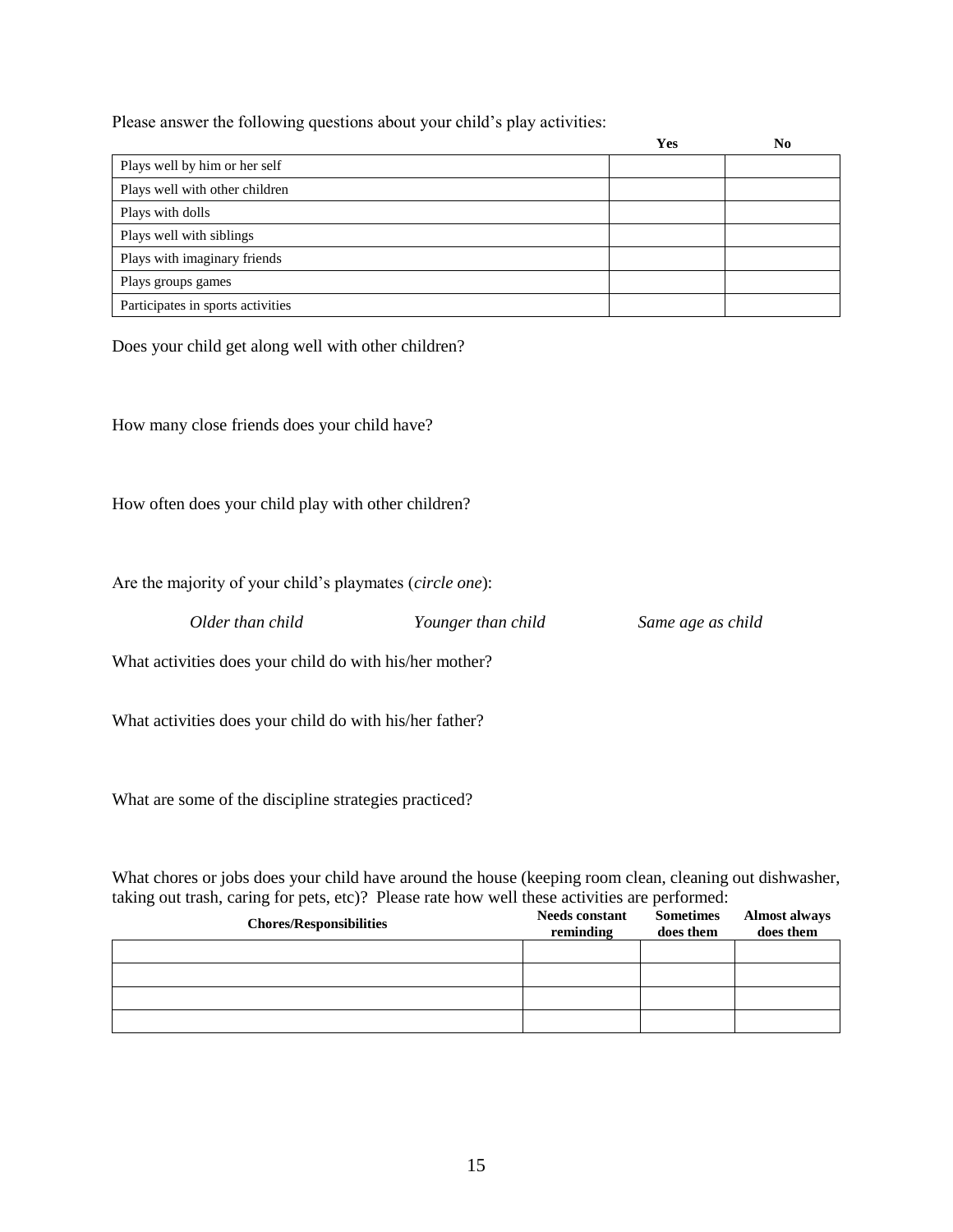Please answer the following questions about your child's play activities:

|                                   | Yes | No |
|-----------------------------------|-----|----|
| Plays well by him or her self     |     |    |
| Plays well with other children    |     |    |
| Plays with dolls                  |     |    |
| Plays well with siblings          |     |    |
| Plays with imaginary friends      |     |    |
| Plays groups games                |     |    |
| Participates in sports activities |     |    |

Does your child get along well with other children?

How many close friends does your child have?

How often does your child play with other children?

Are the majority of your child's playmates (*circle one*):

*Older than child Younger than child Same age as child*

What activities does your child do with his/her mother?

What activities does your child do with his/her father?

What are some of the discipline strategies practiced?

What chores or jobs does your child have around the house (keeping room clean, cleaning out dishwasher, taking out trash, caring for pets, etc)? Please rate how well these activities are performed:

| <b>Chores/Responsibilities</b> | <b>Needs constant</b><br>reminding | Sometimes<br>does them | <b>Almost always</b><br>does them |
|--------------------------------|------------------------------------|------------------------|-----------------------------------|
|                                |                                    |                        |                                   |
|                                |                                    |                        |                                   |
|                                |                                    |                        |                                   |
|                                |                                    |                        |                                   |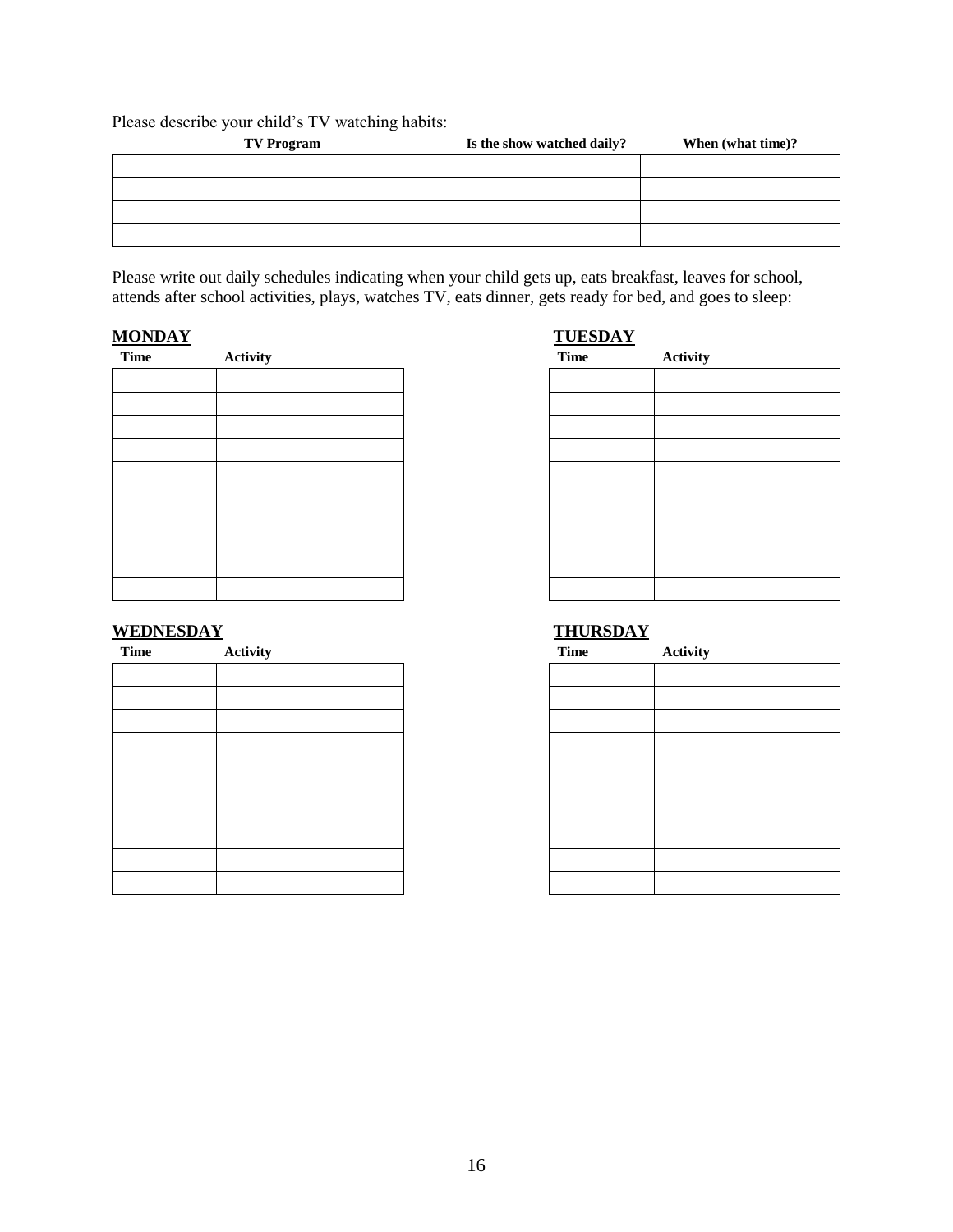Please describe your child's TV watching habits:

| <b>TV Program</b> | Is the show watched daily? | When (what time)? |
|-------------------|----------------------------|-------------------|
|                   |                            |                   |
|                   |                            |                   |
|                   |                            |                   |
|                   |                            |                   |

Please write out daily schedules indicating when your child gets up, eats breakfast, leaves for school, attends after school activities, plays, watches TV, eats dinner, gets ready for bed, and goes to sleep:

| <b>Time</b> | Activity | <b>Time</b> | Activity |
|-------------|----------|-------------|----------|
|             |          |             |          |
|             |          |             |          |
|             |          |             |          |
|             |          |             |          |
|             |          |             |          |
|             |          |             |          |
|             |          |             |          |
|             |          |             |          |
|             |          |             |          |
|             |          |             |          |

## **WEDNESDAY THURSDAY**

| <b>Time</b> | Activity | <b>Time</b> | Activity |
|-------------|----------|-------------|----------|
|             |          |             |          |
|             |          |             |          |
|             |          |             |          |
|             |          |             |          |
|             |          |             |          |
|             |          |             |          |
|             |          |             |          |
|             |          |             |          |
|             |          |             |          |
|             |          |             |          |

# **MONDAY TUESDAY**

| <b>Time</b> | Activity |
|-------------|----------|
|             |          |
|             |          |
|             |          |
|             |          |
|             |          |
|             |          |
|             |          |
|             |          |
|             |          |
|             |          |

| <b>Time</b> | Activity |
|-------------|----------|
|             |          |
|             |          |
|             |          |
|             |          |
|             |          |
|             |          |
|             |          |
|             |          |
|             |          |
|             |          |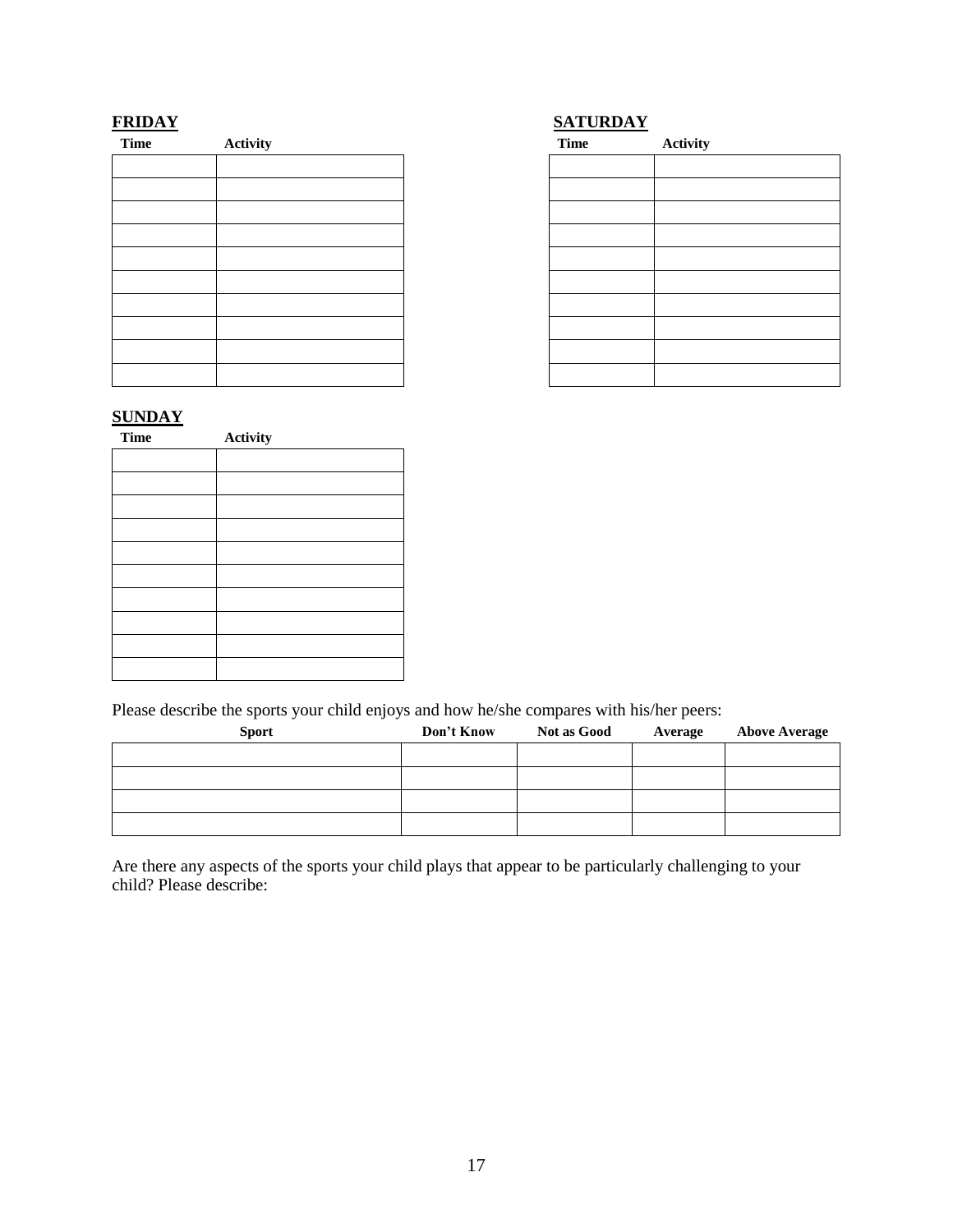| <b>Time</b> | Activity | <b>Time</b> | Activity |
|-------------|----------|-------------|----------|
|             |          |             |          |
|             |          |             |          |
|             |          |             |          |
|             |          |             |          |
|             |          |             |          |
|             |          |             |          |
|             |          |             |          |
|             |          |             |          |
|             |          |             |          |
|             |          |             |          |

# **FRIDAY SATURDAY**

| <b>Activity</b> |
|-----------------|
|                 |
|                 |
|                 |
|                 |
|                 |
|                 |
|                 |
|                 |
|                 |
|                 |
|                 |

## **SUNDAY**

| <b>Time</b> | <b>Activity</b> |  |
|-------------|-----------------|--|
|             |                 |  |
|             |                 |  |
|             |                 |  |
|             |                 |  |
|             |                 |  |
|             |                 |  |
|             |                 |  |
|             |                 |  |
|             |                 |  |
|             |                 |  |

Please describe the sports your child enjoys and how he/she compares with his/her peers:

| <b>Sport</b> | Don't Know Not as Good | Average | <b>Above Average</b> |
|--------------|------------------------|---------|----------------------|
|              |                        |         |                      |
|              |                        |         |                      |
|              |                        |         |                      |
|              |                        |         |                      |

Are there any aspects of the sports your child plays that appear to be particularly challenging to your child? Please describe: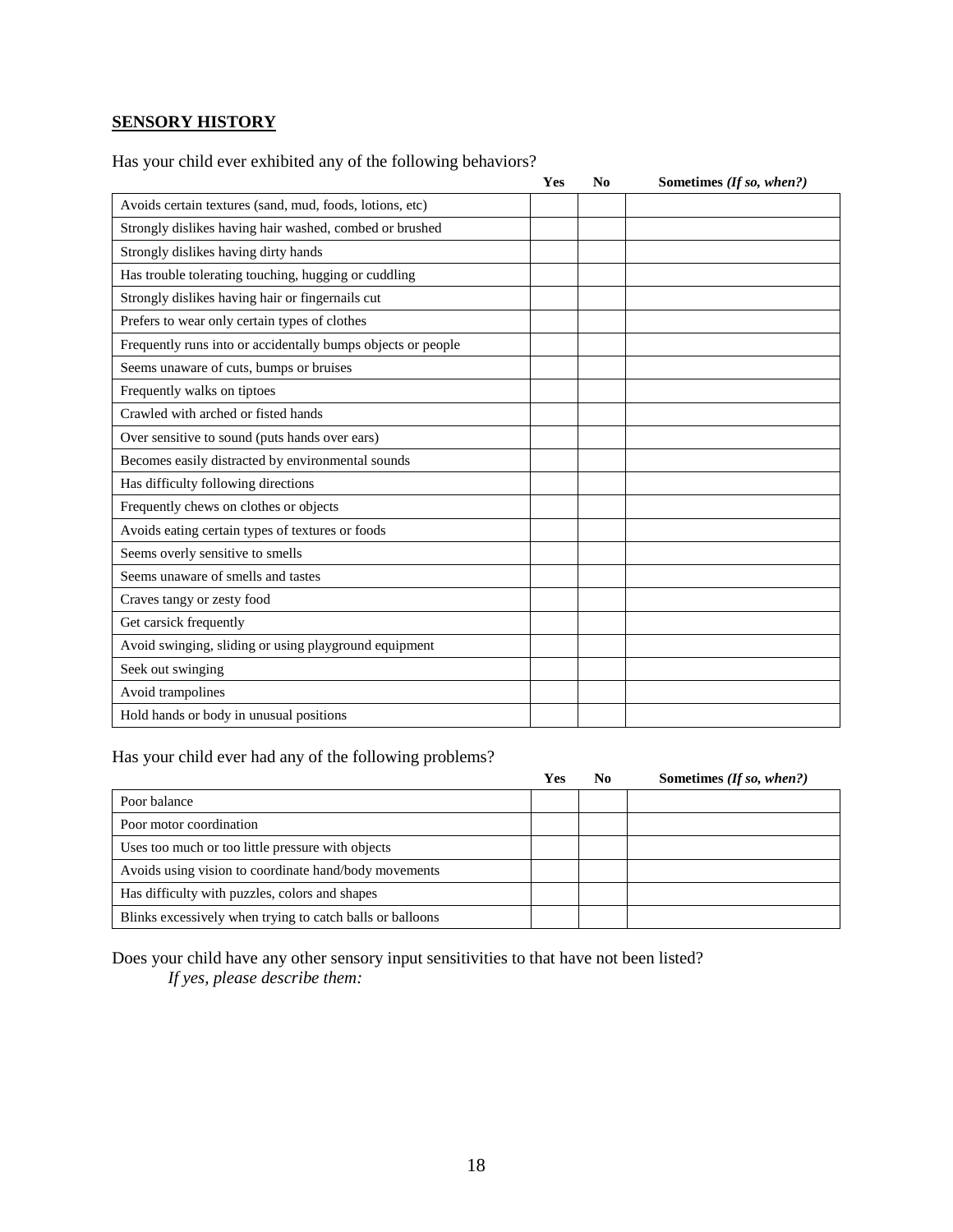# **SENSORY HISTORY**

|  | Has your child ever exhibited any of the following behaviors? |  |  |
|--|---------------------------------------------------------------|--|--|
|  |                                                               |  |  |

|                                                              | Yes | $\mathbf{N}\mathbf{0}$ | Sometimes (If so, when?) |
|--------------------------------------------------------------|-----|------------------------|--------------------------|
| Avoids certain textures (sand, mud, foods, lotions, etc)     |     |                        |                          |
| Strongly dislikes having hair washed, combed or brushed      |     |                        |                          |
| Strongly dislikes having dirty hands                         |     |                        |                          |
| Has trouble tolerating touching, hugging or cuddling         |     |                        |                          |
| Strongly dislikes having hair or fingernails cut             |     |                        |                          |
| Prefers to wear only certain types of clothes                |     |                        |                          |
| Frequently runs into or accidentally bumps objects or people |     |                        |                          |
| Seems unaware of cuts, bumps or bruises                      |     |                        |                          |
| Frequently walks on tiptoes                                  |     |                        |                          |
| Crawled with arched or fisted hands                          |     |                        |                          |
| Over sensitive to sound (puts hands over ears)               |     |                        |                          |
| Becomes easily distracted by environmental sounds            |     |                        |                          |
| Has difficulty following directions                          |     |                        |                          |
| Frequently chews on clothes or objects                       |     |                        |                          |
| Avoids eating certain types of textures or foods             |     |                        |                          |
| Seems overly sensitive to smells                             |     |                        |                          |
| Seems unaware of smells and tastes                           |     |                        |                          |
| Craves tangy or zesty food                                   |     |                        |                          |
| Get carsick frequently                                       |     |                        |                          |
| Avoid swinging, sliding or using playground equipment        |     |                        |                          |
| Seek out swinging                                            |     |                        |                          |
| Avoid trampolines                                            |     |                        |                          |
| Hold hands or body in unusual positions                      |     |                        |                          |

# Has your child ever had any of the following problems?

|                                                           | Yes | N0 | Sometimes (If so, when?) |
|-----------------------------------------------------------|-----|----|--------------------------|
| Poor balance                                              |     |    |                          |
| Poor motor coordination                                   |     |    |                          |
| Uses too much or too little pressure with objects         |     |    |                          |
| Avoids using vision to coordinate hand/body movements     |     |    |                          |
| Has difficulty with puzzles, colors and shapes            |     |    |                          |
| Blinks excessively when trying to catch balls or balloons |     |    |                          |

Does your child have any other sensory input sensitivities to that have not been listed? *If yes, please describe them:*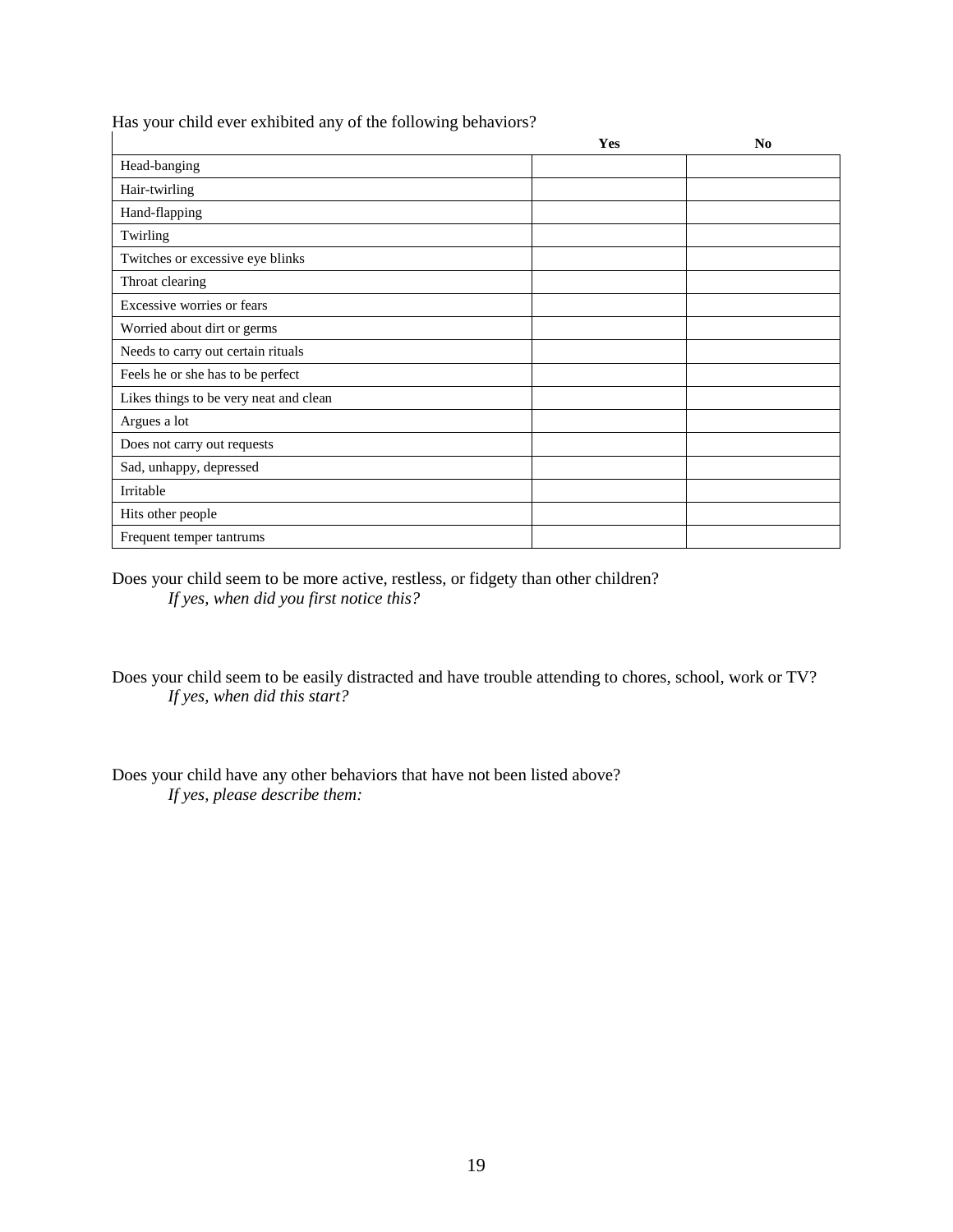|                                        | Yes | No |
|----------------------------------------|-----|----|
| Head-banging                           |     |    |
| Hair-twirling                          |     |    |
| Hand-flapping                          |     |    |
| Twirling                               |     |    |
| Twitches or excessive eye blinks       |     |    |
| Throat clearing                        |     |    |
| Excessive worries or fears             |     |    |
| Worried about dirt or germs            |     |    |
| Needs to carry out certain rituals     |     |    |
| Feels he or she has to be perfect      |     |    |
| Likes things to be very neat and clean |     |    |
| Argues a lot                           |     |    |
| Does not carry out requests            |     |    |
| Sad, unhappy, depressed                |     |    |
| Irritable                              |     |    |
| Hits other people                      |     |    |
| Frequent temper tantrums               |     |    |

Has your child ever exhibited any of the following behaviors?

Does your child seem to be more active, restless, or fidgety than other children? *If yes, when did you first notice this?*

Does your child seem to be easily distracted and have trouble attending to chores, school, work or TV? *If yes, when did this start?*

Does your child have any other behaviors that have not been listed above? *If yes, please describe them:*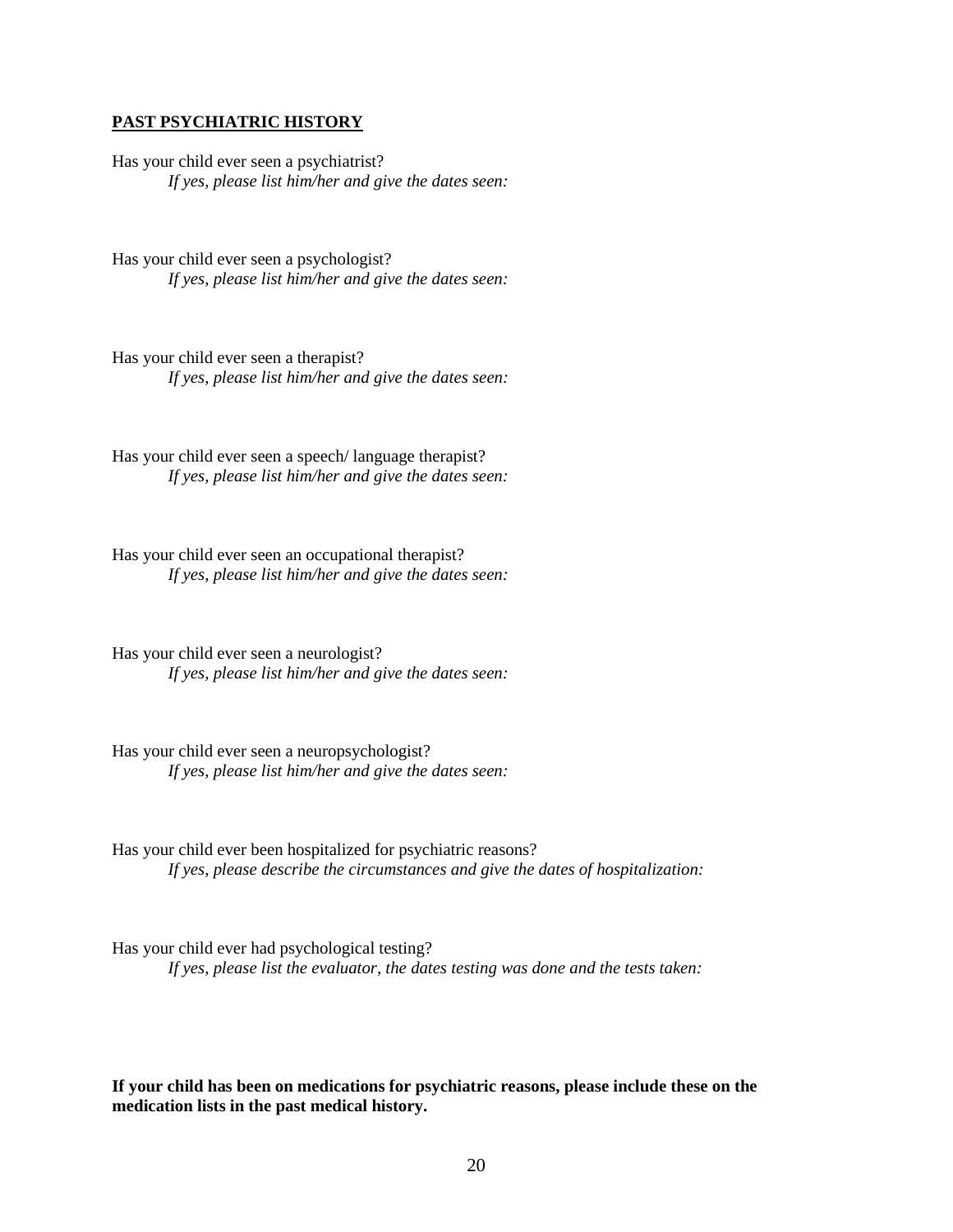#### **PAST PSYCHIATRIC HISTORY**

Has your child ever seen a psychiatrist? *If yes, please list him/her and give the dates seen:*

Has your child ever seen a psychologist? *If yes, please list him/her and give the dates seen:*

Has your child ever seen a therapist? *If yes, please list him/her and give the dates seen:*

Has your child ever seen a speech/ language therapist? *If yes, please list him/her and give the dates seen:*

Has your child ever seen an occupational therapist? *If yes, please list him/her and give the dates seen:*

Has your child ever seen a neurologist? *If yes, please list him/her and give the dates seen:*

Has your child ever seen a neuropsychologist? *If yes, please list him/her and give the dates seen:*

Has your child ever been hospitalized for psychiatric reasons? *If yes, please describe the circumstances and give the dates of hospitalization:*

Has your child ever had psychological testing? *If yes, please list the evaluator, the dates testing was done and the tests taken:*

**If your child has been on medications for psychiatric reasons, please include these on the medication lists in the past medical history.**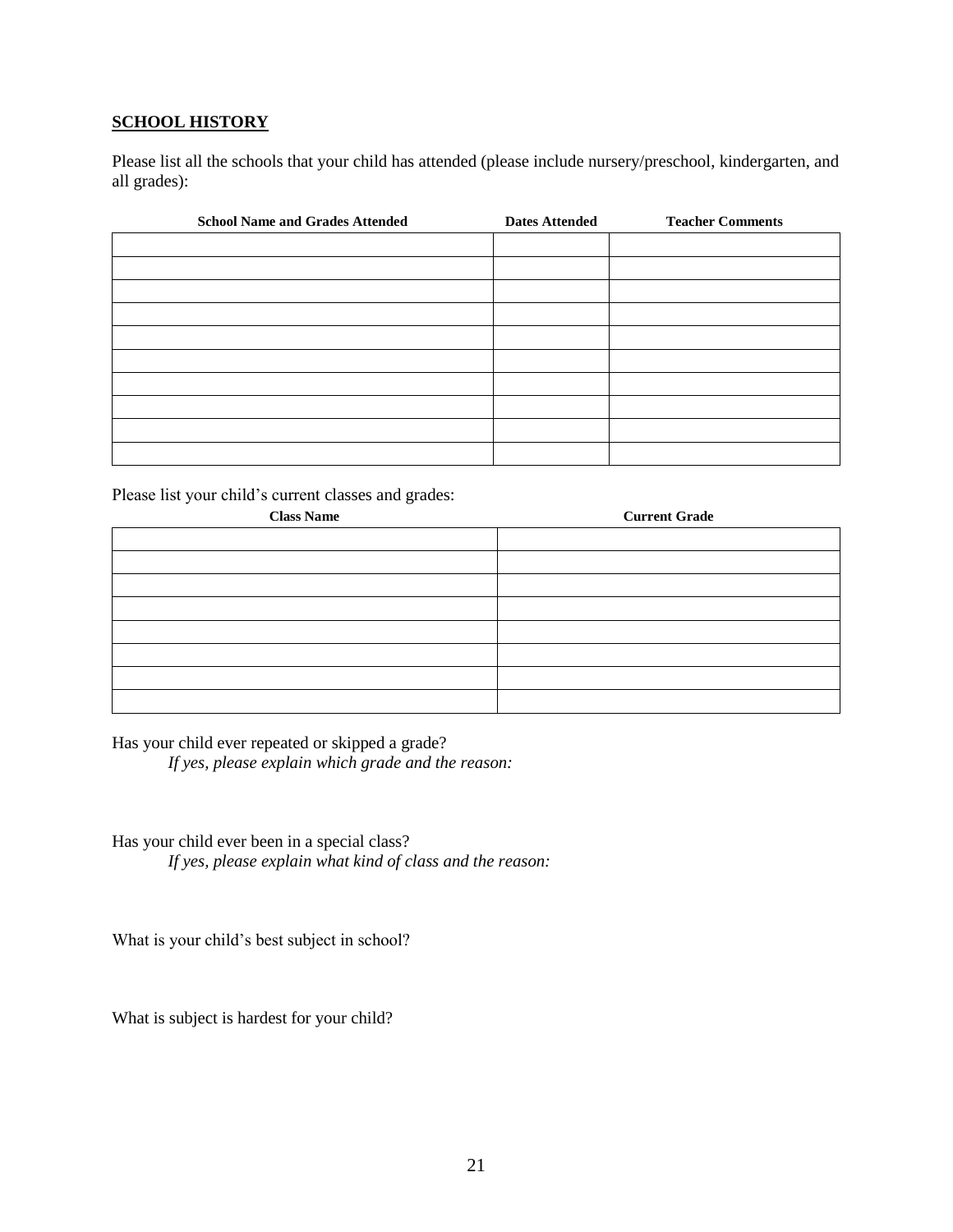## **SCHOOL HISTORY**

Please list all the schools that your child has attended (please include nursery/preschool, kindergarten, and all grades):

| <b>School Name and Grades Attended</b> | <b>Dates Attended</b> | <b>Teacher Comments</b> |
|----------------------------------------|-----------------------|-------------------------|
|                                        |                       |                         |
|                                        |                       |                         |
|                                        |                       |                         |
|                                        |                       |                         |
|                                        |                       |                         |
|                                        |                       |                         |
|                                        |                       |                         |
|                                        |                       |                         |
|                                        |                       |                         |
|                                        |                       |                         |

Please list your child's current classes and grades:

| <b>Class Name</b> | <b>Current Grade</b> |
|-------------------|----------------------|
|                   |                      |
|                   |                      |
|                   |                      |
|                   |                      |
|                   |                      |
|                   |                      |
|                   |                      |
|                   |                      |

Has your child ever repeated or skipped a grade? *If yes, please explain which grade and the reason:*

Has your child ever been in a special class? *If yes, please explain what kind of class and the reason:*

What is your child's best subject in school?

What is subject is hardest for your child?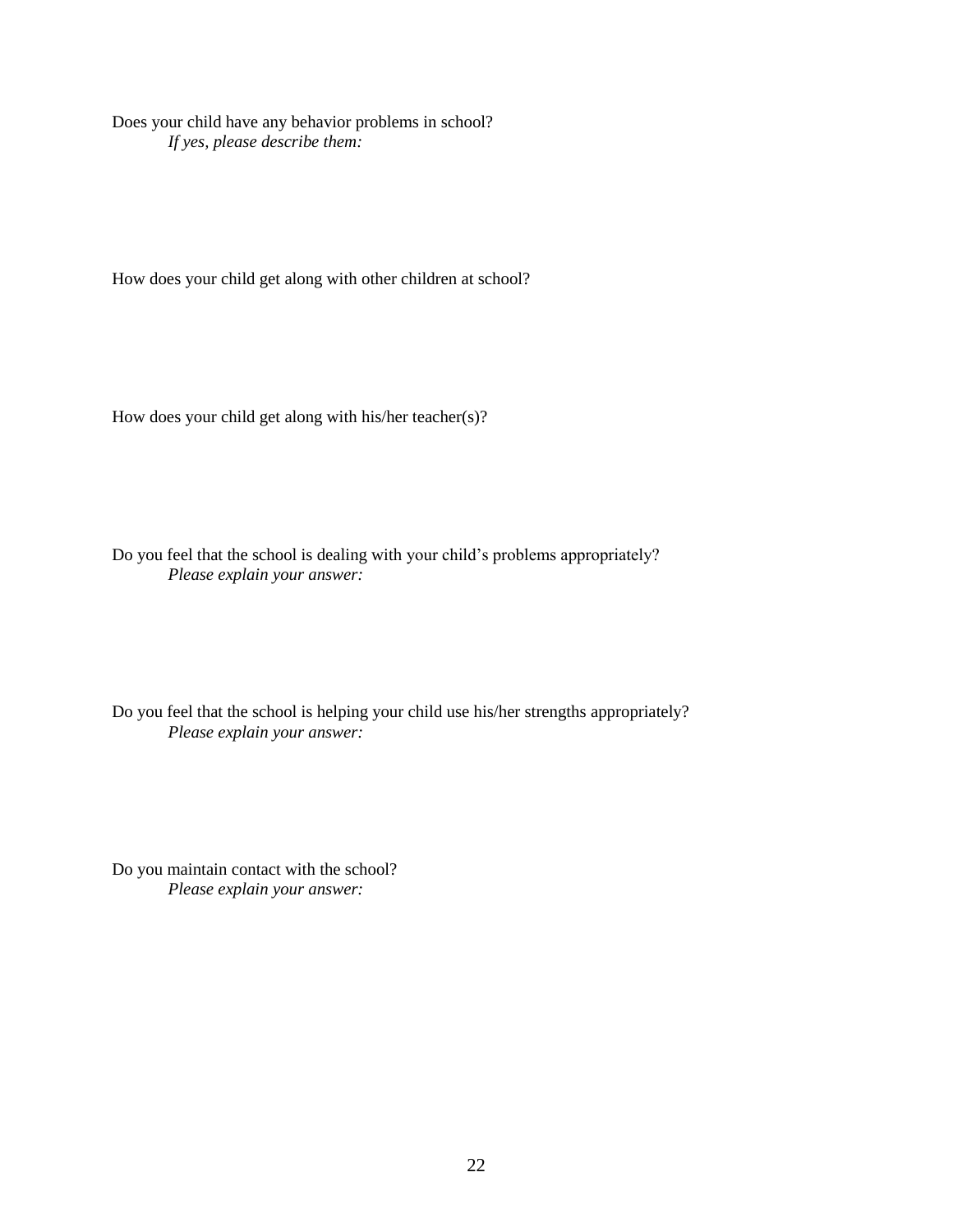Does your child have any behavior problems in school? *If yes, please describe them:*

How does your child get along with other children at school?

How does your child get along with his/her teacher(s)?

Do you feel that the school is dealing with your child's problems appropriately? *Please explain your answer:*

Do you feel that the school is helping your child use his/her strengths appropriately? *Please explain your answer:*

Do you maintain contact with the school? *Please explain your answer:*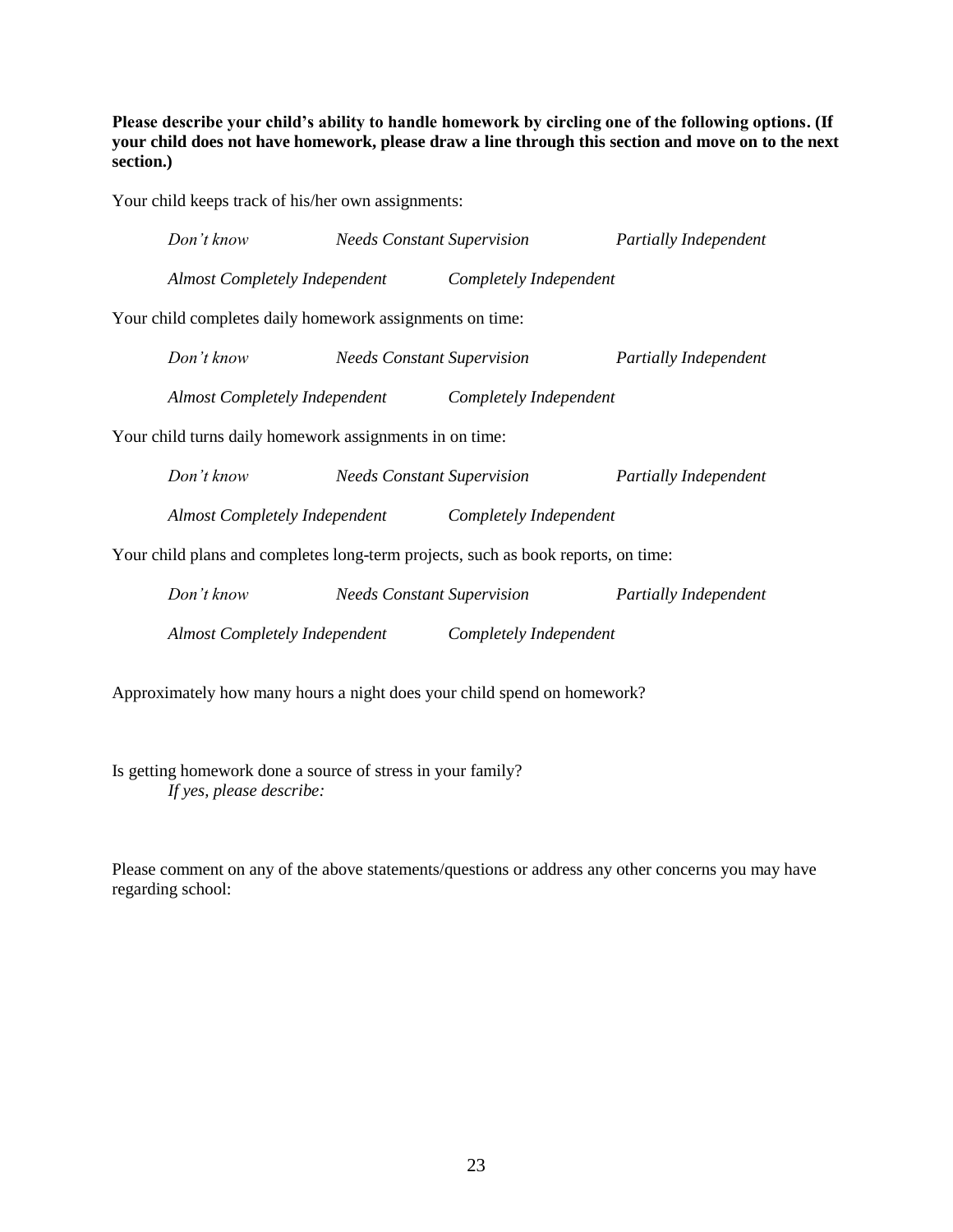**Please describe your child's ability to handle homework by circling one of the following options. (If your child does not have homework, please draw a line through this section and move on to the next section.)**

Your child keeps track of his/her own assignments:

| Don't know                                                                        | <b>Needs Constant Supervision</b> |                        | Partially Independent |
|-----------------------------------------------------------------------------------|-----------------------------------|------------------------|-----------------------|
| Almost Completely Independent                                                     |                                   | Completely Independent |                       |
| Your child completes daily homework assignments on time:                          |                                   |                        |                       |
| Don't know                                                                        | <b>Needs Constant Supervision</b> |                        | Partially Independent |
| Almost Completely Independent                                                     |                                   | Completely Independent |                       |
| Your child turns daily homework assignments in on time:                           |                                   |                        |                       |
| Don't know                                                                        | <b>Needs Constant Supervision</b> |                        | Partially Independent |
| Almost Completely Independent                                                     |                                   | Completely Independent |                       |
| Your child plans and completes long-term projects, such as book reports, on time: |                                   |                        |                       |
| Don't know                                                                        | <b>Needs Constant Supervision</b> |                        | Partially Independent |

*Almost Completely Independent Completely Independent*

Approximately how many hours a night does your child spend on homework?

Is getting homework done a source of stress in your family? *If yes, please describe:*

Please comment on any of the above statements/questions or address any other concerns you may have regarding school: